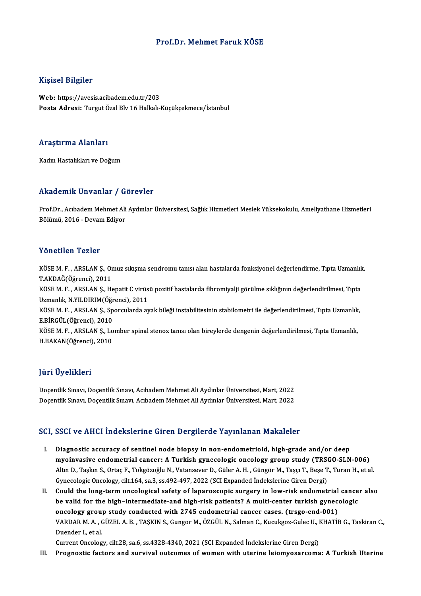#### Prof.Dr.Mehmet Faruk KÖSE

#### Kişisel Bilgiler

Web: https://avesis.acibadem.edu.tr/203 Posta Adresi: Turgut Özal Blv 16 Halkalı-Küçükçekmece/İstanbul

#### Araştırma Alanları

Kadın Hastalıkları ve Doğum

#### Akademik Unvanlar / Görevler

**Akademik Unvanlar / Görevler**<br>Prof.Dr., Acıbadem Mehmet Ali Aydınlar Üniversitesi, Sağlık Hizmetleri Meslek Yüksekokulu, Ameliyathane Hizmetleri<br>Bölümü, 2016 - Devem Ediyer 11114 - James Bölümü, 2016 - Devam<br>Bölümü, 2016 - Devam Ediyor Bölümü, 2016 - Devam Ediyor<br>Yönetilen Tezler

Yönetilen Tezler<br>KÖSE M. F. , ARSLAN Ş., Omuz sıkışma sendromu tanısı alan hastalarda fonksiyonel değerlendirme, Tıpta Uzmanlık,<br>T.AKDAČ(Öğrensi), 2011 TORCENCH TORICI<br>KÖSE M. F., ARSLAN Ş., Or<br>T.AKDAĞ(Öğrenci), 2011<br>VÖSE M. E., ABSLAN S., H. KÖSE M. F. , ARSLAN Ş., Omuz sıkışma sendromu tanısı alan hastalarda fonksiyonel değerlendirme, Tıpta Uzmanlık<br>T.AKDAĞ(Öğrenci), 2011<br>KÖSE M. F. , ARSLAN Ş., Hepatit C virüsü pozitif hastalarda fibromiyalji görülme sıklığı T.AKDAĞ(Öğrenci), 2011<br>KÖSE M. F. , ARSLAN Ş., Hepatit C virüs<br>Uzmanlık, N.YILDIRIM(Öğrenci), 2011<br>KÖSE M. E., ABSLAN S., Sporgularda ay KÖSE M. F. , ARSLAN Ş., Hepatit C virüsü pozitif hastalarda fibromiyalji görülme sıklığının değerlendirilmesi, Tıpta<br>Uzmanlık, N.YILDIRIM(Öğrenci), 2011<br>KÖSE M. F. , ARSLAN Ş., Sporcularda ayak bileği instabilitesinin stab Uzmanlık, N.YILDIRIM(Öğrenci), 2011<br>KÖSE M. F. , ARSLAN Ş., Sporcularda ayak bileği instabilitesinin stabilometri ile değerlendirilmesi, Tıpta Uzmanlık,<br>E.BİRGÜL(Öğrenci), 2010 KÖSE M. F. , ARSLAN Ş., Sporcularda ayak bileği instabilitesinin stabilometri ile değerlendirilmesi, Tıpta Uzmanlık<br>E.BİRGÜL(Öğrenci), 2010<br>KÖSE M. F. , ARSLAN Ş., Lomber spinal stenoz tanısı olan bireylerde dengenin değer E.BİRGÜL(Öğrenci), 2010<br>KÖSE M. F. , ARSLAN Ş., Lo<br>H.BAKAN(Öğrenci), 2010 H.BAKAN(Öğrenci), 2010<br>Jüri Üyelikleri

Doçentlik Sınavı, Doçentlik Sınavı, Acıbadem Mehmet Ali Aydınlar Üniversitesi, Mart, 2022 Doçentlik Sınavı, Doçentlik Sınavı, Acıbadem Mehmet Ali Aydınlar Üniversitesi, Mart, 2022

#### SCI, SSCI ve AHCI İndekslerine Giren Dergilerde Yayınlanan Makaleler

- I. Diagnostic accuracy of sentinel node biopsy in non-endometrioid, high-grade and/or deep minister in the mathematic cancer is the process of the mathematic cancer:<br>Diagnostic accuracy of sentinel node biopsy in non-endometrioid, high-grade and/or deep<br>Min D. Tecky S. Ortes E. Tekyšgeğlu N. Vataneever D. Cüler Diagnostic accuracy of sentinel node biopsy in non-endometrioid, high-grade and/or deep<br>myoinvasive endometrial cancer: A Turkish gynecologic oncology group study (TRSGO-SLN-006)<br>Altın D., Taşkın S., Ortaç F., Tokgözoğlu N myoinvasive endometrial cancer: A Turkish gynecologic oncology group study (TRS)<br>Altın D., Taşkın S., Ortaç F., Tokgözoğlu N., Vatansever D., Güler A. H. , Güngör M., Taşçı T., Beşe T<br>Gynecologic Oncology, cilt.164, sa.3, Altın D., Taşkın S., Ortaç F., Tokgözoğlu N., Vatansever D., Güler A. H., Güngör M., Taşçı T., Beşe T., Turan H., et al.<br>Gynecologic Oncology, cilt.164, sa.3, ss.492-497, 2022 (SCI Expanded Indekslerine Giren Dergi)<br>II. Co
- Gynecologic Oncology, cilt.164, sa.3, ss.492-497, 2022 (SCI Expanded İndekslerine Giren Dergi)<br>Could the long-term oncological safety of laparoscopic surgery in low-risk endometrial cance<br>be valid for the high–intermediate be valid for the high-intermediate-and high-risk patients? A multi-center turkish gynecologic<br>oncology group study conducted with 2745 endometrial cancer cases. (trsgo-end-001) be valid for the high–intermediate-and high-risk patients? A multi-center turkish gynecologic<br>oncology group study conducted with 2745 endometrial cancer cases. (trsgo-end-001)<br>VARDAR M. A. , GÜZEL A. B. , TAŞKIN S., Gungo oncology grou<br>VARDAR M. A. , (<br>Duender I., et al.<br>Current Oncolog VARDAR M. A. , GÜZEL A. B. , TAŞKIN S., Gungor M., ÖZGÜL N., Salman C., Kucukgoz-Gulec U., I<br>Duender I., et al.<br>Current Oncology, cilt.28, sa.6, ss.4328-4340, 2021 (SCI Expanded İndekslerine Giren Dergi)<br>Prognostis fastara Duender I., et al.<br>Current Oncology, cilt.28, sa.6, ss.4328-4340, 2021 (SCI Expanded Indekslerine Giren Dergi)<br>III. Prognostic factors and survival outcomes of women with uterine leiomyosarcoma: A Turkish Uterine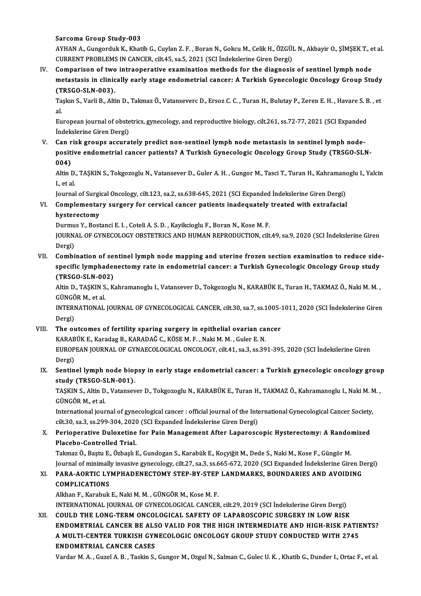Sarcoma Group Study-003

Sarcoma Group Study-003<br>AYHAN A., Gungorduk K., Khatib G., Cuylan Z. F. , Boran N., Gokcu M., Celik H., ÖZGÜL N., Akbayir O., ŞİMŞEK T<br>CURRENT RRORLEMS IN GANCER, silt 45, sə 5, 2021, (SCLİndəkələrinə Giran Dərgi) Sarcoma Group Study-003<br>AYHAN A., Gungorduk K., Khatib G., Cuylan Z. F. , Boran N., Gokcu M., Celik H., ÖZGÜI<br>CURRENT PROBLEMS IN CANCER, cilt.45, sa.5, 2021 (SCI İndekslerine Giren Dergi)<br>Companison of two intreaperative AYHAN A., Gungorduk K., Khatib G., Cuylan Z. F. , Boran N., Gokcu M., Celik H., ÖZGÜL N., Akbayir O., ŞİMŞEK T., e<br>CURRENT PROBLEMS IN CANCER, cilt.45, sa.5, 2021 (SCI İndekslerine Giren Dergi)<br>IV. Comparison of two intrao

CURRENT PROBLEMS IN CANCER, cilt.45, sa.5, 2021 (SCI Indekslerine Giren Dergi)<br>Comparison of two intraoperative examination methods for the diagnosis of sentinel lymph node<br>metastasis in clinically early stage endometrial Comparison of two<br>metastasis in clinic<br>(TRSGO-SLN-003).<br>Taska S. Varli B. Alti metastasis in clinically early stage endometrial cancer: A Turkish Gynecologic Oncology Group Study<br>(TRSGO-SLN-003).<br>Taşkın S., Varli B., Altin D., Takmaz Ö., Vatanseverc D., Ersoz C. C. , Turan H., Bulutay P., Zeren E. H.

(T<br>Ta<br>al Taşkın S., Varli B., Altin D., Takmaz Ö., Vatanseverc D., Ersoz C. C. , Turan H., Bulutay P., Zeren E. H. , Havare S. B<br>al.<br>European journal of obstetrics, gynecology, and reproductive biology, cilt.261, ss.72-77, 2021 (SC

al.<br>European journal of obstetrics, gynecology, and reproductive biology, cilt.261, ss.72-77, 2021 (SCI Expanded<br>İndekslerine Giren Dergi) European journal of obstetrics, gynecology, and reproductive biology, cilt.261, ss.72-77, 2021 (SCI Expanded<br>Indekslerine Giren Dergi)<br>V. Can risk groups accurately predict non-sentinel lymph node metastasis in sentinel ly

İndekslerine Giren Dergi)<br>Can risk groups accurately predict non-sentinel lymph node metastasis in sentinel lymph node-<br>positive endometrial cancer patients? A Turkish Gynecologic Oncology Group Study (TRSGO-SLN-<br>004) Can r<br>positi<br>004)<br>Altin I positive endometrial cancer patients? A Turkish Gynecologic Oncology Group Study (TRSGO-SLN-<br>004)<br>Altin D., TAŞKIN S., Tokgozoglu N., Vatansever D., Guler A. H. , Gungor M., Tasci T., Turan H., Kahramanoglu I., Yalcin<br>Leta

004)<br>Altin D.<br>I., et al.<br>Journal Altin D., TAŞKIN S., Tokgozoglu N., Vatansever D., Guler A. H. , Gungor M., Tasci T., Turan H., Kahramano<br>I., et al.<br>Journal of Surgical Oncology, cilt.123, sa.2, ss.638-645, 2021 (SCI Expanded İndekslerine Giren Dergi)<br>Co

Journal of Surgical Oncology, cilt.123, sa.2, ss.638-645, 2021 (SCI Expanded Indekslerine Giren Dergi)

# I., et al.<br>Journal of Surgical Oncology, cilt.123, sa.2, ss.638-645, 2021 (SCI Expanded İndekslerine Giren Dergi)<br>VI. Complementary surgery for cervical cancer patients inadequately treated with extrafacial<br>hysterectom Complementary surgery for cervical cancer patients inadequately<br>hysterectomy<br>Durmus Y., Bostanci E. I. , Coteli A. S. D. , Kayikcioglu F., Boran N., Kose M. F.<br>JOURNAL OF CYNECOLOCY OBSTETRICS AND HUMAN REPRODUCTION ail:

hysterectomy<br>Durmus Y., Bostanci E. I. , Coteli A. S. D. , Kayikcioglu F., Boran N., Kose M. F.<br>JOURNAL OF GYNECOLOGY OBSTETRICS AND HUMAN REPRODUCTION, cilt.49, sa.9, 2020 (SCI İndekslerine Giren Durmu<br>JOURN<br>Dergi)<br>Combi JOURNAL OF GYNECOLOGY OBSTETRICS AND HUMAN REPRODUCTION, cilt.49, sa.9, 2020 (SCI Indekslerine Giren<br>Dergi)<br>VII. Combination of sentinel lymph node mapping and uterine frozen section examination to reduce side-<br>specific ly

Dergi)<br>Combination of sentinel lymph node mapping and uterine frozen section examination to reduce side<br>specific lymphadenectomy rate in endometrial cancer: a Turkish Gynecologic Oncology Group study<br>(TRSCO SLN 002) Combination of sex<br>specific lymphader<br>(TRSGO-SLN-002)<br>Altin D. TASKIN S. K. specific lymphadenectomy rate in endometrial cancer: a Turkish Gynecologic Oncology Group study<br>(TRSGO-SLN-002)<br>Altin D., TAŞKIN S., Kahramanoglu I., Vatansever D., Tokgozoglu N., KARABÜK E., Turan H., TAKMAZ Ö., Naki M. M

(TRSGO-SLN-002)<br>Altin D., TAŞKIN S., Kahramanoglu I., Vatansever D., Tokgozoglu N., KARABÜK E., Turan H., TAKMAZ Ö., Naki M. M<br>GÜNGÖR M., et al. Altin D., TAŞKIN S., Kahramanoglu I., Vatansever D., Tokgozoglu N., KARABÜK E., Turan H., TAKMAZ Ö., Naki M. M<br>GÜNGÖR M., et al.<br>INTERNATIONAL JOURNAL OF GYNECOLOGICAL CANCER, cilt.30, sa.7, ss.1005-1011, 2020 (SCI İndeksl

GÜNGÖ<br>INTERI<br>Dergi)<br>The ex INTERNATIONAL JOURNAL OF GYNECOLOGICAL CANCER, cilt.30, sa.7, ss.1005-<br>Dergi)<br>VIII. The outcomes of fertility sparing surgery in epithelial ovarian cancer<br>VARAPÜV E. Kanadas B. KARADAĞ C. KÖSEM E. Naki M.M. Gular E. N

#### Dergi)<br>The outcomes of fertility sparing surgery in epithelial ovarian ca<br>KARABÜK E., Karadag B., KARADAĞ C., KÖSE M. F. , Naki M. M. , Guler E. N.<br>FUROPEAN JOURNAL OF CYNAFCOLOCICAL ONCOLOCY silt 41.82.3.829 EUROPEAN JOURNAL OF GYNAECOLOGICAL ONCOLOGY, cilt.41, sa.3, ss.391-395, 2020 (SCI İndekslerine Giren<br>Dergi) KARABÜK E., Karadag B., KARADAĞ C., KÖSE M. F., Naki M. M., Guler E. N. EUROPEAN JOURNAL OF GYNAECOLOGICAL ONCOLOGY, cilt.41, sa.3, ss.391-395, 2020 (SCI İndekslerine Giren<br>Dergi)<br>IX. Sentinel lymph node biopsy in early stage endometrial cancer: a Turkish gynecologic oncology group<br>Atudy (TBSC

# Dergi)<br>Sentinel lymph node bio<sub>l</sub><br>study (TRSGO-SLN-001).<br>TASKINS, Altin D. Vetensey Sentinel lymph node biopsy in early stage endometrial cancer: a Turkish gynecologic oncology grou<sub>l</sub><br>study (TRSGO-SLN-001).<br>TAŞKIN S., Altin D., Vatansever D., Tokgozoglu N., KARABÜK E., Turan H., TAKMAZ Ö., Kahramanoglu I

<mark>study (TRSGO-S</mark><br>TAŞKIN S., Altin D<br>GÜNGÖR M., et al.<br>International jour TAŞKIN S., Altin D., Vatansever D., Tokgozoglu N., KARABÜK E., Turan H., TAKMAZ Ö., Kahramanoglu I., Naki M. N<br>GÜNGÖR M., et al.<br>International journal of gynecological cancer : official journal of the International Gynecol

GÜNGÖR M., et al.<br>International journal of gynecological cancer : official journal of the Inte<br>cilt.30, sa.3, ss.299-304, 2020 (SCI Expanded İndekslerine Giren Dergi)<br>Perionarative Dulayetine for Bain Management After Lana

### International journal of gynecological cancer : official journal of the International Gynecological Cancer Society,<br>cilt.30, sa.3, ss.299-304, 2020 (SCI Expanded Indekslerine Giren Dergi)<br>X. Perioperative Duloxetine for Pa cilt.30, sa.3, ss.299-304, 2020<br>Perioperative Duloxetine<br>Placebo-Controlled Trial.<br>Takmar Ö. Bastu E. Özbaslu Perioperative Duloxetine for Pain Management After Laparoscopic Hysterectomy: A Rando:<br>Placebo-Controlled Trial.<br>Takmaz Ö., Baştu E., Özbaşlı E., Gundogan S., Karabük E., Koçyiğit M., Dede S., Naki M., Kose F., Güngör M.<br>J

Placebo-Controlled Trial.<br>Takmaz Ö., Baştu E., Özbaşlı E., Gundogan S., Karabük E., Koçyiğit M., Dede S., Naki M., Kose F., Güngör M.<br>Journal of minimally invasive gynecology, cilt.27, sa.3, ss.665-672, 2020 (SCI Expanded Takmaz Ö., Baştu E., Özbaşlı E., Gundogan S., Karabük E., Koçyiğit M., Dede S., Naki M., Kose F., Güngör M.<br>Journal of minimally invasive gynecology, cilt.27, sa.3, ss.665-672, 2020 (SCI Expanded İndekslerine Giren D<br>XI. P

### Journal of minimally invasive gynecology, cilt.27, sa.3, ss.665-672, 2020 (SCI Expanded Indekslerine Giren Dergi)<br>PARA-AORTIC LYMPHADENECTOMY STEP-BY-STEP LANDMARKS, BOUNDARIES AND AVOIDING<br>COMPLICATIONS<br>Alkhan F., Karabuk XI. PARA-AORTIC LYMPHADENECTOMY STEP-BY-STEP LANDMARKS, BOUNDARIES AND AVOIDING

INTERNATIONAL JOURNALOFGYNECOLOGICAL CANCER, cilt.29,2019 (SCI İndekslerineGirenDergi) Alkhan F., Karabuk E., Naki M. M. , GÜNGÖR M., Kose M. F.<br>INTERNATIONAL JOURNAL OF GYNECOLOGICAL CANCER, cilt.29, 2019 (SCI İndekslerine Giren Dergi)<br>XII. COULD THE LONG-TERM ONCOLOGICAL SAFETY OF LAPAROSCOPIC SURGERY

INTERNATIONAL JOURNAL OF GYNECOLOGICAL CANCER, cilt.29, 2019 (SCI İndekslerine Giren Dergi)<br>COULD THE LONG-TERM ONCOLOGICAL SAFETY OF LAPAROSCOPIC SURGERY IN LOW RISK<br>ENDOMETRIAL CANCER BE ALSO VALID FOR THE HIGH INTERMEDI COULD THE LONG-TERM ONCOLOGICAL SAFETY OF LAPAROSCOPIC SURGERY IN LOW RISK<br>ENDOMETRIAL CANCER BE ALSO VALID FOR THE HIGH INTERMEDIATE AND HIGH-RISK PATIE<br>A MULTI-CENTER TURKISH GYNECOLOGIC ONCOLOGY GROUP STUDY CONDUCTED WI ENDOMETRIAL CANCER BE ALS<br>A MULTI-CENTER TURKISH GYN<br>ENDOMETRIAL CANCER CASES<br>Varder M A Curel A B Teskin S A MULTI-CENTER TURKISH GYNECOLOGIC ONCOLOGY GROUP STUDY CONDUCTED WITH 2745<br>ENDOMETRIAL CANCER CASES<br>Vardar M. A. , Guzel A. B. , Taskin S., Gungor M., Ozgul N., Salman C., Gulec U. K. , Khatib G., Dunder I., Ortac F., et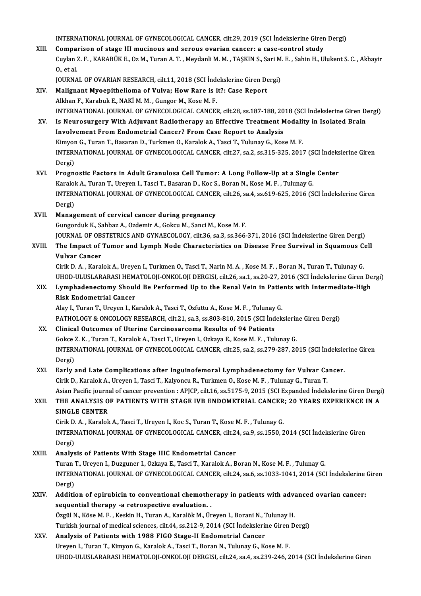INTERNATIONAL JOURNAL OF GYNECOLOGICAL CANCER, cilt.29, 2019 (SCI İndekslerine Giren Dergi)<br>Comparison of stage III musineus and sereus everien senserus asses sentrel study

INTERNATIONAL JOURNAL OF GYNECOLOGICAL CANCER, cilt.29, 2019 (SCI Indekslerine Giren<br>XIII. Comparison of stage III mucinous and serous ovarian cancer: a case-control study<br>Curlen 7. E. KARABÜK E. OF M. Turen A. T. Merdenli INTERNATIONAL JOURNAL OF GYNECOLOGICAL CANCER, cilt.29, 2019 (SCI İndekslerine Giren Dergi)<br>Comparison of stage III mucinous and serous ovarian cancer: a case-control study<br>Cuylan Z. F. , KARABÜK E., Oz M., Turan A. T. , M Compai<br>Cuylan<br>0., et al.<br>IOUDNA Cuylan Z. F. , KARABÜK E., Oz M., Turan A. T. , Meydanli M. M. , TAŞKIN S., Sari M<br>O., et al.<br>JOURNAL OF OVARIAN RESEARCH, cilt.11, 2018 (SCI İndekslerine Giren Dergi)<br>Malianant Mueenitheliama of Vulya: Haw Bare is it?; Ca 0., et al.<br>JOURNAL OF OVARIAN RESEARCH, cilt.11, 2018 (SCI Indekslerine Giren Dergi)<br>XIV. Malignant Myoepithelioma of Vulva; How Rare is it?: Case Report

- Alkhan F., Karabuk E., NAKİ M. M. , Gungor M., Kose M. F. INTERNATIONAL JOURNALOFGYNECOLOGICAL CANCER, cilt.28, ss.187-188,2018 (SCI İndekslerineGirenDergi) Alkhan F., Karabuk E., NAKİ M. M. , Gungor M., Kose M. F.<br>INTERNATIONAL JOURNAL OF GYNECOLOGICAL CANCER, cilt.28, ss.187-188, 2018 (SCI İndekslerine Giren D.<br>XV. Is Neurosurgery With Adjuvant Radiotherapy an Effective Trea
- Involvement FromEndometrial Cancer? FromCase Report to Analysis Is Neurosurgery With Adjuvant Radiotherapy an Effective Treatment Modali<br>Involvement From Endometrial Cancer? From Case Report to Analysis<br>Kimyon G., Turan T., Basaran D., Turkmen O., Karalok A., Tasci T., Tulunay G., Kose INTERNATIONAL JOURNAL OF GYNECOLOGICAL CANCER, cilt.27, sa.2, ss.315-325, 2017 (SCI İndekslerine Giren<br>Dergi) Kimyon G., Turan T., Basaran D., Turkmen O., Karalok A., Tasci T., Tulunay G., Kose M. F. INTERNATIONAL JOURNAL OF GYNECOLOGICAL CANCER, cilt.27, sa.2, ss.315-325, 2017 (SCI Indeks<br>Dergi)<br>XVI. Prognostic Factors in Adult Granulosa Cell Tumor: A Long Follow-Up at a Single Center<br>Kanalak A Turan T Upsyon J Tessi
- Dergi)<br>Prognostic Factors in Adult Granulosa Cell Tumor: A Long Follow-Up at a Single<br>Karalok A., Turan T., Ureyen I., Tasci T., Basaran D., Koc S., Boran N., Kose M. F. , Tulunay G.<br>INTERNATIONAL JOURNAL OF CYNECOLOCICAL Prognostic Factors in Adult Granulosa Cell Tumor: A Long Follow-Up at a Single Center<br>Karalok A., Turan T., Ureyen I., Tasci T., Basaran D., Koc S., Boran N., Kose M. F. , Tulunay G.<br>INTERNATIONAL JOURNAL OF GYNECOLOGICAL Karalol<br>INTERI<br>Dergi)<br>Manag Dergi)<br>XVII. Management of cervical cancer during pregnancy

### Gungorduk K., Sahbaz A., Ozdemir A., Gokcu M., Sanci M., Kose M. F. Management of cervical cancer during pregnancy<br>Gungorduk K., Sahbaz A., Ozdemir A., Gokcu M., Sanci M., Kose M. F.<br>JOURNAL OF OBSTETRICS AND GYNAECOLOGY, cilt.36, sa.3, ss.366-371, 2016 (SCI İndekslerine Giren Dergi)<br>The I

Gungorduk K., Sahbaz A., Ozdemir A., Gokcu M., Sanci M., Kose M. F.<br>JOURNAL OF OBSTETRICS AND GYNAECOLOGY, cilt.36, sa.3, ss.366-371, 2016 (SCI Indekslerine Giren Dergi)<br>XVIII. The Impact of Tumor and Lymph Node Characteri JOURNAL OF OB<br>The Impact of<br>Vulvar Cancer<br>Cirik D.A. Karal The Impact of Tumor and Lymph Node Characteristics on Disease Free Survival in Squamous Cell<br>Vulvar Cancer<br>Cirik D. A. , Karalok A., Ureyen I., Turkmen O., Tasci T., Narin M. A. , Kose M. F. , Boran N., Turan T., Tulunay G

UHOD-ULUSLARARASI HEMATOLOJI-ONKOLOJI DERGISI, cilt.26, sa.1, ss.20-27, 2016 (SCI İndekslerine Giren Dergi) Cirik D. A. , Karalok A., Ureyen I., Turkmen O., Tasci T., Narin M. A. , Kose M. F. , Boran N., Turan T., Tulunay G.<br>UHOD-ULUSLARARASI HEMATOLOJI-ONKOLOJI DERGISI, cilt.26, sa.1, ss.20-27, 2016 (SCI İndekslerine Giren De<br>X

# UHOD-ULUSLARARASI HEM.<br>Lymphadenectomy Shoul<br>Risk Endometrial Cancer<br>Alav L. Turen T. Ureven L. K. Lymphadenectomy Should Be Performed Up to the Renal Vein in Patie<br>Risk Endometrial Cancer<br>Alay I., Turan T., Ureyen I., Karalok A., Tasci T., Ozfuttu A., Kose M. F. , Tulunay G.<br>BATHOLOGY & ONGOLOGY RESEARGH silt 21, 82,2

Risk Endometrial Cancer<br>Alay I., Turan T., Ureyen I., Karalok A., Tasci T., Ozfuttu A., Kose M. F. , Tulunay G.<br>PATHOLOGY & ONCOLOGY RESEARCH, cilt.21, sa.3, ss.803-810, 2015 (SCI İndekslerine Giren Dergi)

#### XX. Clinical Outcomes of Uterine Carcinosarcoma Results of 94 Patients PATHOLOGY & ONCOLOGY RESEARCH, cilt.21, sa.3, ss.803-810, 2015 (SCI İndekslerin<br>Clinical Outcomes of Uterine Carcinosarcoma Results of 94 Patients<br>Gokce Z. K. , Turan T., Karalok A., Tasci T., Ureyen I., Ozkaya E., Kose M. INTERNATIONAL JOURNAL OF GYNECOLOGICAL CANCER, cilt.25, sa.2, ss.279-287, 2015 (SCI İndekslerine Giren<br>Dergi) Gokce<br>INTERI<br>Dergi)<br>Farlu INTERNATIONAL JOURNAL OF GYNECOLOGICAL CANCER, cilt.25, sa.2, ss.279-287, 2015 (SCI indeksle<br>Dergi)<br>XXI. Early and Late Complications after Inguinofemoral Lymphadenectomy for Vulvar Cancer.<br>Civil: D. Karalak A. Urayan L. T

### Dergi)<br>Early and Late Complications after Inguinofemoral Lymphadenectomy for Vulvar Ca<br>Cirik D., Karalok A., Ureyen I., Tasci T., Kalyoncu R., Turkmen O., Kose M. F. , Tulunay G., Turan T.<br>Asian Pasifis iournal of cansor p Early and Late Complications after Inguinofemoral Lymphadenectomy for Vulvar Cancer.<br>Cirik D., Karalok A., Ureyen I., Tasci T., Kalyoncu R., Turkmen O., Kose M. F. , Tulunay G., Turan T.<br>Asian Pacific journal of cancer pre Cirik D., Karalok A., Ureyen I., Tasci T., Kalyoncu R., Turkmen O., Kose M. F. , Tulunay G., Turan T.<br>Asian Pacific journal of cancer prevention : APJCP, cilt.16, ss.5175-9, 2015 (SCI Expanded Indekslerine Giren Dergi<br>XXII

## Asian Pacific journa<br>THE ANALYSIS O<br>SINGLE CENTER<br>Cirik D.A. Karalak THE ANALYSIS OF PATIENTS WITH STAGE IVB ENDOMETRIAL CANCER; 20 YEARS EXPERIENCE IN A<br>SINGLE CENTER<br>Cirik D.A., Karalok A., Tasci T., Ureyen I., Koc S., Turan T., Kose M. F., Tulunay G.

SINGLE CENTER<br>Cirik D. A. , Karalok A., Tasci T., Ureyen I., Koc S., Turan T., Kose M. F. , Tulunay G.<br>INTERNATIONAL JOURNAL OF GYNECOLOGICAL CANCER, cilt.24, sa.9, ss.1550, 2014 (SCI İndekslerine Giren<br>Persi) Cirik D<br>INTERI<br>Dergi)<br>Analys INTERNATIONAL JOURNAL OF GYNECOLOGICAL CANCER, cilt.2.<br>Dergi)<br>XXIII. Analysis of Patients With Stage IIIC Endometrial Cancer<br>Turge T. Heaven L. Duggungs L. Ogkave E. Tessi T. Kanalak A. B

Dergi)<br><mark>Analysis of Patients With Stage IIIC Endometrial Cancer</mark><br>Turan T., Ureyen I., Duzguner I., Ozkaya E., Tasci T., Karalok A., Boran N., Kose M. F. , Tulunay G.<br>INTERNATIONAL JOURNAL OF CYNECOLOCICAL CANCER, silt 24, Analysis of Patients With Stage IIIC Endometrial Cancer<br>Turan T., Ureyen I., Duzguner I., Ozkaya E., Tasci T., Karalok A., Boran N., Kose M. F. , Tulunay G.<br>INTERNATIONAL JOURNAL OF GYNECOLOGICAL CANCER, cilt.24, sa.6, ss. Turan<br>INTERI<br>Dergi)<br>Additi INTERNATIONAL JOURNAL OF GYNECOLOGICAL CANCER, cilt.24, sa.6, ss.1033-1041, 2014 (SCI Indekslerine<br>Dergi)<br>XXIV. Addition of epirubicin to conventional chemotherapy in patients with advanced ovarian cancer:

### Dergi)<br>Addition of epirubicin to conventional chemothe<br>sequential therapy -a retrospective evaluation. .<br>Özgül N. Köse M. E. Koskin H. Turen A. Koralök M. Ür Addition of epirubicin to conventional chemotherapy in patients with adv.<br>sequential therapy -a retrospective evaluation. .<br>Özgül N., Köse M. F. , Keskin H., Turan A., Karalök M., Üreyen I., Borani N., Tulunay H.<br>Turkish j sequential therapy -a retrospective evaluation.<br>Özgül N., Köse M. F. , Keskin H., Turan A., Karalök M., Üreyen I., Borani N., Tulunay H.<br>Turkish journal of medical sciences, cilt.44, ss.212-9, 2014 (SCI İndekslerine Giren

#### Özgül N., Köse M. F. , Keskin H., Turan A., Karalök M., Üreyen I., Borani N., 1<br>Turkish journal of medical sciences, cilt.44, ss.212-9, 2014 (SCI İndeksleri<br>XXV. Analysis of Patients with 1988 FIGO Stage-II Endometrial Can Turkish journal of medical sciences, cilt.44, ss.212-9, 2014 (SCI İndekslerine Giren<br>Analysis of Patients with 1988 FIGO Stage-II Endometrial Cancer<br>Ureyen I., Turan T., Kimyon G., Karalok A., Tasci T., Boran N., Tulunay G Analysis of Patients with 1988 FIGO Stage-II Endometrial Cancer<br>Ureyen I., Turan T., Kimyon G., Karalok A., Tasci T., Boran N., Tulunay G., Kose M. F.<br>UHOD-ULUSLARARASI HEMATOLOJI-ONKOLOJI DERGISI, cilt.24, sa.4, ss.239-24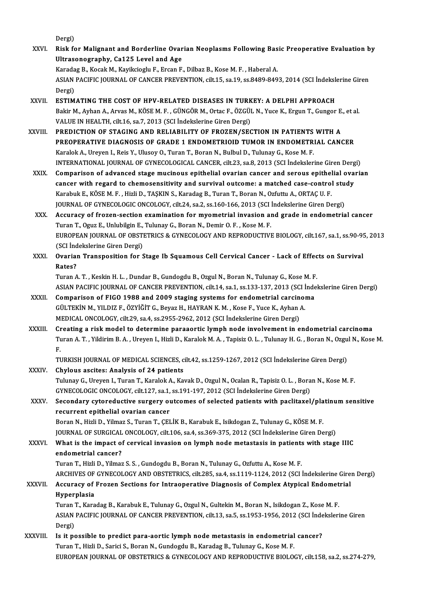- Dergi) Dergi)<br>XXVI. Risk for Malignant and Borderline Ovarian Neoplasms Following Basic Preoperative Evaluation by<br>Illtresonography, Ca135 Lovel and Ase Dergi)<br>Risk for Malignant and Borderline Ovar<br>Ultrasonography, Ca125 Level and Age<br>Kanadag B. Kasak M. Kaviksiasky E. Exsan E. Ultrasonography, Ca125 Level and Age<br>Karadag B., Kocak M., Kayikcioglu F., Ercan F., Dilbaz B., Kose M. F., Haberal A. Ultrasonography, Ca125 Level and Age<br>Karadag B., Kocak M., Kayikcioglu F., Ercan F., Dilbaz B., Kose M. F. , Haberal A.<br>ASIAN PACIFIC JOURNAL OF CANCER PREVENTION, cilt.15, sa.19, ss.8489-8493, 2014 (SCI İndekslerine Giren Karada<br>ASIAN<br>Dergi)<br>ESTIM ASIAN PACIFIC JOURNAL OF CANCER PREVENTION, cilt.15, sa.19, ss.8489-8493, 2014 (SCI Indeksloper)<br>Dergi)<br>XXVII. ESTIMATING THE COST OF HPV-RELATED DISEASES IN TURKEY: A DELPHI APPROACH Dergi)<br><mark>ESTIMATING THE COST OF HPV-RELATED DISEASES IN TURKEY: A DELPHI APPROACH</mark><br>Bakir M., Ayhan A., Arvas M., KÖSE M. F. , GÜNGÖR M., Ortac F., ÖZGÜL N., Yuce K., Ergun T., Gungor E., et al.<br>VALUE IN HEALTH, silt 16, sp. ESTIMATING THE COST OF HPV-RELATED DISEASES IN TURKEY: A DELPHI APPROACH<br>Bakir M., Ayhan A., Arvas M., KÖSE M. F. , GÜNGÖR M., Ortac F., ÖZGÜL N., Yuce K., Ergun T., Gungor E<br>VALUE IN HEALTH, cilt.16, sa.7, 2013 (SCI İndek Bakir M., Ayhan A., Arvas M., KÖSE M. F. , GÜNGÖR M., Ortac F., ÖZGÜL N., Yuce K., Ergun T., Gungor E.<br>VALUE IN HEALTH, cilt.16, sa.7, 2013 (SCI İndekslerine Giren Dergi)<br>XXVIII. PREDICTION OF STAGING AND RELIABILITY OF FR VALUE IN HEALTH, cilt.16, sa.7, 2013 (SCI İndekslerine Giren Dergi)<br>PREDICTION OF STAGING AND RELIABILITY OF FROZEN/SECTION IN PATIENTS WITH A<br>PREOPERATIVE DIAGNOSIS OF GRADE 1 ENDOMETRIOID TUMOR IN ENDOMETRIAL CANCER<br>Kara PREDICTION OF STAGING AND RELIABILITY OF FROZEN/SECTION IN PATIENTS<br>PREOPERATIVE DIAGNOSIS OF GRADE 1 ENDOMETRIOID TUMOR IN ENDOMETR<br>Karalok A., Ureyen I., Reis Y., Ulusoy O., Turan T., Boran N., Bulbul D., Tulunay G., Kos PREOPERATIVE DIAGNOSIS OF GRADE 1 ENDOMETRIOID TUMOR IN ENDOMETRIAL CANCER<br>Karalok A., Ureyen I., Reis Y., Ulusoy O., Turan T., Boran N., Bulbul D., Tulunay G., Kose M. F.<br>INTERNATIONAL JOURNAL OF GYNECOLOGICAL CANCER, cil Karalok A., Ureyen I., Reis Y., Ulusoy O., Turan T., Boran N., Bulbul D., Tulunay G., Kose M. F.<br>INTERNATIONAL JOURNAL OF GYNECOLOGICAL CANCER, cilt.23, sa.8, 2013 (SCI Indekslerine Giren Dergi)<br>XXIX. Comparison of advance INTERNATIONAL JOURNAL OF GYNECOLOGICAL CANCER, cilt.23, sa.8, 2013 (SCI indekslerine Giren Derg<br>Comparison of advanced stage mucinous epithelial ovarian cancer and serous epithelial ova<br>cancer with regard to chemosensitivi Comparison of advanced stage mucinous epithelial ovarian cancer and serous epithel<br>cancer with regard to chemosensitivity and survival outcome: a matched case-control<br>Karabuk E., KÖSE M. F. , Hizli D., TAŞKIN S., Karadag B cancer with regard to chemosensitivity and survival outcome: a matched case-control stu<br>Karabuk E., KÖSE M. F. , Hizli D., TAŞKIN S., Karadag B., Turan T., Boran N., Ozfuttu A., ORTAÇ U. F.<br>JOURNAL OF GYNECOLOGIC ONCOLOGY, Karabuk E., KÖSE M. F., Hizli D., TAŞKIN S., Karadag B., Turan T., Boran N., Ozfuttu A., ORTAÇ U. F.<br>JOURNAL OF GYNECOLOGIC ONCOLOGY, cilt.24, sa.2, ss.160-166, 2013 (SCI İndekslerine Giren Dergi)<br>XXX. Accuracy of frozen-s JOURNAL OF GYNECOLOGIC ONCOLOGY, cilt.24, sa.2, ss.160-166, 2013 (SCI Indekslerine Giren Dergi)<br>Accuracy of frozen-section examination for myometrial invasion and grade in endometrial cancer<br>Turan T., Oguz E., Unlubilgin E Accuracy of frozen-section examination for myometrial invasion and grade in endometrial cancer<br>Turan T., Oguz E., Unlubilgin E., Tulunay G., Boran N., Demir O. F. , Kose M. F.<br>EUROPEAN JOURNAL OF OBSTETRICS & GYNECOLOGY AN Turan T., Oguz E., Unlubilgin E.,<br>EUROPEAN JOURNAL OF OBSTI<br>(SCI İndekslerine Giren Dergi)<br>Quarian Transposition for S EUROPEAN JOURNAL OF OBSTETRICS & GYNECOLOGY AND REPRODUCTIVE BIOLOGY, cilt.167, sa.1, ss.90-9!<br>(SCI İndekslerine Giren Dergi)<br>XXXI. Ovarian Transposition for Stage Ib Squamous Cell Cervical Cancer - Lack of Effects on Surv (SCI İnd<br>**Ovaria**)<br>Rates?<br>Turan A Ovarian Transposition for Stage Ib Squamous Cell Cervical Cancer - Lack of Effec<br>Rates?<br>Turan A.T., Keskin H. L., Dundar B., Gundogdu B., Ozgul N., Boran N., Tulunay G., Kose M. F.<br>ASIAN PACIEIC JOUPNAL OF CANCER PREVENTIO Rates?<br>Turan A. T. , Keskin H. L. , Dundar B., Gundogdu B., Ozgul N., Boran N., Tulunay G., Kose M. F.<br>ASIAN PACIFIC JOURNAL OF CANCER PREVENTION, cilt.14, sa.1, ss.133-137, 2013 (SCI İndekslerine Giren Dergi)<br>Comparison o Turan A. T., Keskin H. L., Dundar B., Gundogdu B., Ozgul N., Boran N., Tulunay G., Kose M. F<br>ASIAN PACIFIC JOURNAL OF CANCER PREVENTION, cilt.14, sa.1, ss.133-137, 2013 (SCI Inde<br>XXXII. Comparison of FIGO 1988 and 2009 sta
- ASIAN PACIFIC JOURNAL OF CANCER PREVENTION, cilt.14, sa.1, ss.133-137, 2013 (SCI İ<br>Comparison of FIGO 1988 and 2009 staging systems for endometrial carcinol<br>GÜLTEKİN M., YILDIZ F., ÖZYİĞİT G., Beyaz H., HAYRAN K.M. , Kose Comparison of FIGO 1988 and 2009 staging systems for endometrial carcinoma<br>GÜLTEKİN M., YILDIZ F., ÖZYİĞİT G., Beyaz H., HAYRAN K. M. , Kose F., Yuce K., Ayhan A.<br>MEDICAL ONCOLOGY, cilt.29, sa.4, ss.2955-2962, 2012 (SCI İn GÜLTEKİN M., YILDIZ F., ÖZYİĞİT G., Beyaz H., HAYRAN K. M., Kose F., Yuce K., Ayhan A.<br>MEDICAL ONCOLOGY, cilt.29, sa.4, ss.2955-2962, 2012 (SCI İndekslerine Giren Dergi)<br>XXXIII. Creating a risk model to determine paraaorti
- MEDICAL ONCOLOGY, cilt.29, sa.4, ss.2955-2962, 2012 (SCI İndekslerine Giren Dergi)<br>Creating a risk model to determine paraaortic lymph node involvement in endometrial carcinoma<br>Turan A. T. , Yildirim B. A. , Ureyen I., Hiz Cr<br>Tu<br>F. Turan A. T. , Yildirim B. A. , Ureyen I., Hizli D., Karalok M. A. , Tapisiz O. L. , Tulunay H. G. , Boran N., Ozgu<br>F.<br>TURKISH JOURNAL OF MEDICAL SCIENCES, cilt.42, ss.1259-1267, 2012 (SCI İndekslerine Giren Dergi)<br>Chylous F.<br>TURKISH JOURNAL OF MEDICAL SCIENCES, c<br>XXXIV. Chylous ascites: Analysis of 24 patients<br>Tulupay G. Upsuan L. Turen T. Karalek A. Kar

TURKISH JOURNAL OF MEDICAL SCIENCES, cilt.42, ss.1259-1267, 2012 (SCI İndekslerine Giren Dergi)<br>Chylous ascites: Analysis of 24 patients<br>Tulunay G., Ureyen I., Turan T., Karalok A., Kavak D., Ozgul N., Ocalan R., Tapisiz O Chylous ascites: Analysis of 24 patients<br>Tulunay G., Ureyen I., Turan T., Karalok A., Kavak D., Ozgul N., Ocalan R., Tapisiz O. L. , Bora<br>GYNECOLOGIC ONCOLOGY, cilt.127, sa.1, ss.191-197, 2012 (SCI İndekslerine Giren Dergi Tulunay G., Ureyen I., Turan T., Karalok A., Kavak D., Ozgul N., Ocalan R., Tapisiz O. L. , Boran N., Kose M. F.<br>GYNECOLOGIC ONCOLOGY, cilt.127, sa.1, ss.191-197, 2012 (SCI İndekslerine Giren Dergi)<br>XXXV. Secondary cyto

## GYNECOLOGIC ONCOLOGY, cilt.127, sa.1, ss.191-197, 2012 (SCI İndekslerine Giren Dergi)<br>Secondary cytoreductive surgery outcomes of selected patients with paclitaxel/platinum sensitive<br>recurrent epithelial ovarian cancer Secondary cytoreductive surgery outcomes of selected patients with paclitaxel/pla<br>recurrent epithelial ovarian cancer<br>Boran N., Hizli D., Yilmaz S., Turan T., ÇELİK B., Karabuk E., Isikdogan Z., Tulunay G., KÖSE M. F.<br>JOUP

recurrent epithelial ovarian cancer<br>Boran N., Hizli D., Yilmaz S., Turan T., ÇELİK B., Karabuk E., Isikdogan Z., Tulunay G., KÖSE M. F.<br>JOURNAL OF SURGICAL ONCOLOGY, cilt.106, sa.4, ss.369-375, 2012 (SCI İndekslerine Giren

## Boran N., Hizli D., Yilmaz S., Turan T., ÇELİK B., Karabuk E., Isikdogan Z., Tulunay G., KÖSE M. F.<br>JOURNAL OF SURGICAL ONCOLOGY, cilt.106, sa.4, ss.369-375, 2012 (SCI İndekslerine Giren Dergi)<br>XXXVI. What is the impact of JOURNAL OF SURGICAL ONCOLOGY, cilt.106, sa.4, ss.369-375, 2012 (SCI Indekslerine Giren Dergi)<br>What is the impact of cervical invasion on lymph node metastasis in patients with stage IIIC<br>endometrial cancer?

Turan T., Hizli D., Yilmaz S. S., Gundogdu B., Boran N., Tulunay G., Ozfuttu A., Kose M. F. endometrial cancer?<br>Turan T., Hizli D., Yilmaz S. S. , Gundogdu B., Boran N., Tulunay G., Ozfuttu A., Kose M. F.<br>ARCHIVES OF GYNECOLOGY AND OBSTETRICS, cilt.285, sa.4, ss.1119-1124, 2012 (SCI İndekslerine Giren Dergi)<br>Acqu

### Turan T., Hizli D., Yilmaz S. S. , Gundogdu B., Boran N., Tulunay G., Ozfuttu A., Kose M. F.<br>ARCHIVES OF GYNECOLOGY AND OBSTETRICS, cilt.285, sa.4, ss.1119-1124, 2012 (SCI İndekslerine Gire<br>XXXVII. Accuracy of Frozen Secti ARCHIVES OF<br><mark>Accuracy of</mark><br>Hyperplasia<br>Turon T. Koro Accuracy of Frozen Sections for Intraoperative Diagnosis of Complex Atypical Endomet<br>Hyperplasia<br>Turan T., Karadag B., Karabuk E., Tulunay G., Ozgul N., Gultekin M., Boran N., Isikdogan Z., Kose M. F.<br>ASIAN PACIEIC JOUPNAL

Hyperplasia<br>Turan T., Karadag B., Karabuk E., Tulunay G., Ozgul N., Gultekin M., Boran N., Isikdogan Z., Kose M. F.<br>ASIAN PACIFIC JOURNAL OF CANCER PREVENTION, cilt.13, sa.5, ss.1953-1956, 2012 (SCI İndekslerine Giren<br>Pers Turan<br>ASIAN<br>Dergi)<br>Is it ne ASIAN PACIFIC JOURNAL OF CANCER PREVENTION, cilt.13, sa.5, ss.1953-1956, 2012 (SCI inde<br>Dergi)<br>XXXVIII. Is it possible to predict para-aortic lymph node metastasis in endometrial cancer?<br>Turna T. Hirli D. Sarid S. Boran N.

### Dergi)<br>Is it possible to predict para-aortic lymph node metastasis in endometrial cancer?<br>Turan T., Hizli D., Sarici S., Boran N., Gundogdu B., Karadag B., Tulunay G., Kose M. F. EUROPEAN JOURNAL OF OBSTETRICS & GYNECOLOGY AND REPRODUCTIVE BIOLOGY, cilt.158, sa.2, ss.274-279,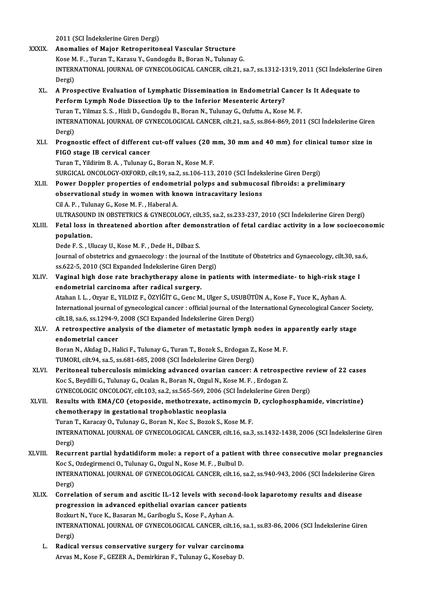- 2011 (SCI İndekslerine Giren Dergi) XXXIX. Anomalies of Major Retroperitoneal Vascular Structure 2011 (SCI İndekslerine Giren Dergi)<br>**Anomalies of Major Retroperitoneal Vascular Structure**<br>Kose M. F. , Turan T., Karasu Y., Gundogdu B., Boran N., Tulunay G.<br>INTERNATIONAL JOURNAL OF CYNECOLOGICAL CANCER silt 21 s INTERNATIONAL JOURNAL OF GYNECOLOGICAL CANCER, cilt.21, sa.7, ss.1312-1319, 2011 (SCI İndekslerine Giren<br>Dergi) Kose M<br>INTERI<br>Dergi)<br>A Pros INTERNATIONAL JOURNAL OF GYNECOLOGICAL CANCER, cilt.21, sa.7, ss.1312-1319, 2011 (SCI Indekslerin<br>Dergi)<br>XL. A Prospective Evaluation of Lymphatic Dissemination in Endometrial Cancer Is It Adequate to<br>Perform Lymph Node Di Dergi)<br>A Prospective Evaluation of Lymphatic Dissemination in Endometrial C.<br>Perform Lymph Node Dissection Up to the Inferior Mesenteric Artery?<br>Turan T. Vilmar S.S., Higli D. Gundordu P. Peran N. Tulunay G. Orfutu A. Koss A Prospective Evaluation of Lymphatic Dissemination in Endometrial Cancer<br>Perform Lymph Node Dissection Up to the Inferior Mesenteric Artery?<br>Turan T., Yilmaz S. S. , Hizli D., Gundogdu B., Boran N., Tulunay G., Ozfuttu A. Perform Lymph Node Dissection Up to the Inferior Mesenteric Artery?<br>Turan T., Yilmaz S. S. , Hizli D., Gundogdu B., Boran N., Tulunay G., Ozfuttu A., Kose M. F.<br>INTERNATIONAL JOURNAL OF GYNECOLOGICAL CANCER, cilt.21, sa.5, Turan<br>INTERI<br>Dergi)<br>Progn INTERNATIONAL JOURNAL OF GYNECOLOGICAL CANCER, cilt.21, sa.5, ss.864-869, 2011 (SCI Indekslerine Giren<br>Dergi)<br>XLI. Prognostic effect of different cut-off values (20 mm, 30 mm and 40 mm) for clinical tumor size in Dergi)<br>Prognostic effect of different<br>FIGO stage IB cervical cancer<br>Turan T. Vildirim B. A., Tulunay C Prognostic effect of different cut-off values (20 n<br>FIGO stage IB cervical cancer<br>Turan T., Yildirim B.A., Tulunay G., Boran N., Kose M. F.<br>SURCICAL ONCOLOCY OYFORD, silt 19, se 2, se 196, 112 FIGO stage IB cervical cancer<br>Turan T., Yildirim B. A. , Tulunay G., Boran N., Kose M. F.<br>SURGICAL ONCOLOGY-OXFORD, cilt.19, sa.2, ss.106-113, 2010 (SCI İndekslerine Giren Dergi)<br>Power Donnlar proportise of andometrial pol Turan T., Yildirim B. A. , Tulunay G., Boran N., Kose M. F.<br>SURGICAL ONCOLOGY-OXFORD, cilt.19, sa.2, ss.106-113, 2010 (SCI İndekslerine Giren Dergi)<br>XLII. Power Doppler properties of endometrial polyps and submucosal fibro SURGICAL ONCOLOGY-OXFORD, cilt.19, sa.2, ss.106-113, 2010 (SCI İndek<br>Power Doppler properties of endometrial polyps and submucos<br>observational study in women with known intracavitary lesions<br>Cil A. B. Tuluney C. Kese M. E. Power Doppler properties of endomer<br>observational study in women with kn<br>Cil A.P., Tulunay G., Kose M. F., Haberal A.<br>III TRASOUND IN OBSTETRICS & CYNECOL observational study in women with known intracavitary lesions<br>Cil A. P. , Tulunay G., Kose M. F. , Haberal A.<br>ULTRASOUND IN OBSTETRICS & GYNECOLOGY, cilt.35, sa.2, ss.233-237, 2010 (SCI İndekslerine Giren Dergi) Cil A. P. , Tulunay G., Kose M. F. , Haberal A.<br>ULTRASOUND IN OBSTETRICS & GYNECOLOGY, cilt.35, sa.2, ss.233-237, 2010 (SCI İndekslerine Giren Dergi)<br>XLIII. Fetal loss in threatened abortion after demonstration of feta ULTRASOUN<br>Fetal loss in<br>population.<br>Dede E.S. Ul Fetal loss in threatened abortion after demo<br>population.<br>Dede F. S. , Ulucay U., Kose M. F. , Dede H., Dilbaz S.<br>Journal of obstatrics and gunaesclogy , the journal population.<br>Dede F. S. , Ulucay U., Kose M. F. , Dede H., Dilbaz S.<br>Journal of obstetrics and gynaecology : the journal of the Institute of Obstetrics and Gynaecology, cilt.30, sa.6, Dede F. S. , Ulucay U., Kose M. F. , Dede H., Dilbaz S.<br>Journal of obstetrics and gynaecology : the journal of the<br>ss.622-5, 2010 (SCI Expanded İndekslerine Giren Dergi)<br>Vaginal birb dasa rata brashytbarany alane in nat Journal of obstetrics and gynaecology : the journal of the Institute of Obstetrics and Gynaecology, cilt.30, sa<br>ss.622-5, 2010 (SCI Expanded Indekslerine Giren Dergi)<br>XLIV. Vaginal high dose rate brachytherapy alone in pat ss.622-5, 2010 (SCI Expanded Indekslerine Giren D<br>Vaginal high dose rate brachytherapy alone i<br>endometrial carcinoma after radical surgery.<br>Ataban LL Owen E VILDIZE ÖZVİĞIT C. Cone M Vaginal high dose rate brachytherapy alone in patients with intermediate- to high-risk sta<br>endometrial carcinoma after radical surgery.<br>Atahan I. L. , Ozyar E., YILDIZ F., ÖZYİĞİT G., Genc M., Ulger S., USUBÜTÜN A., Kose F endometrial carcinoma after radical surgery.<br>Atahan I. L. , Ozyar E., YILDIZ F., ÖZYİĞİT G., Genc M., Ulger S., USUBÜTÜN A., Kose F., Yuce K., Ayhan A.<br>International journal of gynecological cancer : official journal of th Atahan I. L., Ozyar E., YILDIZ F., ÖZYİĞİT G., Genc M., Ulger S., USUBÜTÜN A., Kose F., Yuce K., Ayhan A. International journal of gynecological cancer : official journal of the International Gynecological Cancer So<br>cilt.18, sa.6, ss.1294-9, 2008 (SCI Expanded Indekslerine Giren Dergi)<br>XLV. A retrospective analysis of the diam cilt.18, sa.6, ss.1294-9,<br>A retrospective ana<br>endometrial cancer<br>Boran N. Aldes D. Ho A retrospective analysis of the diameter of metastatic lymph nodes in a<br>endometrial cancer<br>Boran N., Akdag D., Halici F., Tulunay G., Turan T., Bozok S., Erdogan Z., Kose M. F.<br>TUMOPL sit 94, sa 5, sa 691, 695, 3009 (SCL I endometrial cancer<br>Boran N., Akdag D., Halici F., Tulunay G., Turan T., Bozok S., Erdogan Z., Kose M. F.<br>TUMORI, cilt.94, sa.5, ss.681-685, 2008 (SCI İndekslerine Giren Dergi) Boran N., Akdag D., Halici F., Tulunay G., Turan T., Bozok S., Erdogan Z., Kose M. F.<br>TUMORI, cilt.94, sa.5, ss.681-685, 2008 (SCI İndekslerine Giren Dergi)<br>XLVI. Peritoneal tuberculosis mimicking advanced ovarian cancer: TUMORI, cilt.94, sa.5, ss.681-685, 2008 (SCI İndekslerine Giren Dergi)<br>Peritoneal tuberculosis mimicking advanced ovarian cancer: A retrospe<br>Koc S., Beydilli G., Tulunay G., Ocalan R., Boran N., Ozgul N., Kose M. F. , Erdo Peritoneal tuberculosis mimicking advanced ovarian cancer: A retrospective re<br>Koc S., Beydilli G., Tulunay G., Ocalan R., Boran N., Ozgul N., Kose M. F. , Erdogan Z.<br>GYNECOLOGIC ONCOLOGY, cilt.103, sa.2, ss.565-569, 2006 ( Koc S., Beydilli G., Tulunay G., Ocalan R., Boran N., Ozgul N., Kose M. F. , Erdogan Z.<br>GYNECOLOGIC ONCOLOGY, cilt.103, sa.2, ss.565-569, 2006 (SCI İndekslerine Giren Dergi)<br>XLVII. Results with EMA/CO (etoposide, methotrex GYNECOLOGIC ONCOLOGY, cilt.103, sa.2, ss.565-569, 2006 (SCI Indekslerine Giren Dergi) Results with EMA/CO (etoposide, methotrexate, actinomycin<br>chemotherapy in gestational trophoblastic neoplasia<br>Turan T., Karacay O., Tulunay G., Boran N., Koc S., Bozok S., Kose M. F.<br>INTERNATIONAL JOURNAL OF CYNECOLOCICAL INTERNATIONAL JOURNAL OF GYNECOLOGICAL CANCER, cilt.16, sa.3, ss.1432-1438, 2006 (SCI İndekslerine Giren<br>Dergi) Turan<br>INTERI<br>Dergi)<br>Besuru INTERNATIONAL JOURNAL OF GYNECOLOGICAL CANCER, cilt.16, sa.3, ss.1432-1438, 2006 (SCI Indekslerine Giren<br>Dergi)<br>XLVIII. Recurrent partial hydatidiform mole: a report of a patient with three consecutive molar pregnancies<br>Xe Dergi)<br>Recurrent partial hydatidiform mole: a report of a patient<br>Koc S., Ozdegirmenci O., Tulunay G., Ozgul N., Kose M. F. , Bulbul D.<br>INTERNATIONAL JOURNAL OF CYNECOLOGICAL CANCER, silt 16 Recurrent partial hydatidiform mole: a report of a patient with three consecutive molar pregnancion<br>Koc S., Ozdegirmenci O., Tulunay G., Ozgul N., Kose M. F. , Bulbul D.<br>INTERNATIONAL JOURNAL OF GYNECOLOGICAL CANCER, cilt.
	- Koc S., Ozdegirmenci O., Tulunay G., Ozgul N., Kose M. F. , Bulbul D.<br>INTERNATIONAL JOURNAL OF GYNECOLOGICAL CANCER, cilt.16, s<br>Dergi) INTERNATIONAL JOURNAL OF GYNECOLOGICAL CANCER, cilt.16, sa.2, ss.940-943, 2006 (SCI İndekslerine Giren<br>Dergi)<br>XLIX. Correlation of serum and ascitic IL-12 levels with second-look laparotomy results and disease<br>progression
- Dergi)<br>Correlation of serum and ascitic IL-12 levels with second-lo<br>progression in advanced epithelial ovarian cancer patients<br>Regluyt N. Yuge K. Beseren M. Caribeglu S. Kese E. Ayban A. Correlation of serum and ascitic IL-12 levels with secomprogression in advanced epithelial ovarian cancer patio<br>Bozkurt N., Yuce K., Basaran M., Gariboglu S., Kose F., Ayhan A.<br>INTERNATIONAL JOURNAL OF CYNECOLOCICAL CANCER progression in advanced epithelial ovarian cancer patients<br>Bozkurt N., Yuce K., Basaran M., Gariboglu S., Kose F., Ayhan A.<br>INTERNATIONAL JOURNAL OF GYNECOLOGICAL CANCER, cilt.16, sa.1, ss.83-86, 2006 (SCI İndekslerine Gir Bozkur<br>INTERI<br>Dergi)<br>Podica INTERNATIONAL JOURNAL OF GYNECOLOGICAL CANCER, cilt.16, s<br>Dergi)<br>L. Radical versus conservative surgery for vulvar carcinoma<br>Awge M. Kees E. CEZER A. Deministran E. Tulynew C. Keesbey D.
	- Dergi)<br>L. Radical versus conservative surgery for vulvar carcinoma<br>Arvas M., Kose F., GEZER A., Demirkiran F., Tulunay G., Kosebay D.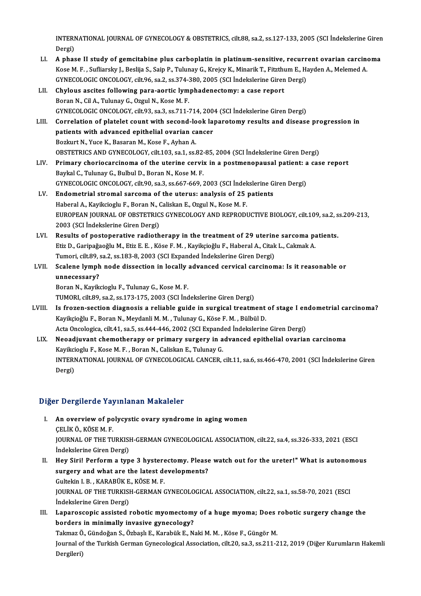INTERNATIONAL JOURNAL OF GYNECOLOGY & OBSTETRICS, cilt.88, sa.2, ss.127-133, 2005 (SCI İndekslerine Giren<br>Persi INTERI<br>Dergi)<br>Anhae INTERNATIONAL JOURNAL OF GYNECOLOGY & OBSTETRICS, cilt.88, sa.2, ss.127-133, 2005 (SCI Indekslerine Giren<br>Dergi)<br>LI. A phase II study of gemcitabine plus carboplatin in platinum-sensitive, recurrent ovarian carcinoma<br>Kose

- Dergi)<br>A phase II study of gemcitabine plus carboplatin in platinum-sensitive, recurrent ovarian carcine<br>Kose M. F., Sufliarsky J., Beslija S., Saip P., Tulunay G., Krejcy K., Minarik T., Fitzthum E., Hayden A., Melemed A. A phase II study of gemcitabine plus carboplatin in platinum-sensitive, recurr<br>Kose M. F. , Sufliarsky J., Beslija S., Saip P., Tulunay G., Krejcy K., Minarik T., Fitzthum E., H.<br>GYNECOLOGIC ONCOLOGY, cilt.96, sa.2, ss.374 GYNECOLOGIC ONCOLOGY, cilt.96, sa.2, ss.374-380, 2005 (SCI Indekslerine Giren Dergi)<br>LII. Chylous ascites following para-aortic lymphadenectomy: a case report
- Boran N., Cil A., Tulunay G., Ozgul N., Kose M. F. Chylous ascites following para-aortic lymphadenectomy: a case report<br>Boran N., Cil A., Tulunay G., Ozgul N., Kose M. F.<br>GYNECOLOGIC ONCOLOGY, cilt.93, sa.3, ss.711-714, 2004 (SCI İndekslerine Giren Dergi)<br>Correlation of pl Boran N., Cil A., Tulunay G., Ozgul N., Kose M. F.<br>GYNECOLOGIC ONCOLOGY, cilt93, sa.3, ss.711-714, 2004 (SCI İndekslerine Giren Dergi)<br>LIII. Correlation of platelet count with second-look laparotomy results and disease pro
- GYNECOLOGIC ONCOLOGY, cilt.93, sa.3, ss.711-714, 200<br>Correlation of platelet count with second-look lap<br>patients with advanced epithelial ovarian cancer<br>Porluut N. Yuge K. Bessran M. Kese E. Ayhan A. Correlation of platelet count with second-lo<br>patients with advanced epithelial ovarian ca<br>Bozkurt N., Yuce K., Basaran M., Kose F., Ayhan A.<br>OPSTETPICS AND CYNECOLOCY sit 103 ss 1 ss i patients with advanced epithelial ovarian cancer<br>Bozkurt N., Yuce K., Basaran M., Kose F., Ayhan A.<br>OBSTETRICS AND GYNECOLOGY, cilt.103, sa.1, ss.82-85, 2004 (SCI İndekslerine Giren Dergi)
- LIV. Primary choriocarcinoma of the uterine cervix in a postmenopausal patient: a case report Baykal C., Tulunay G., Bulbul D., Boran N., Kose M. F. Primary choriocarcinoma of the uterine cervix in a postmenopausal patient: a<br>Baykal C., Tulunay G., Bulbul D., Boran N., Kose M. F.<br>GYNECOLOGIC ONCOLOGY, cilt.90, sa.3, ss.667-669, 2003 (SCI İndekslerine Giren Dergi)<br>Endem Baykal C., Tulunay G., Bulbul D., Boran N., Kose M. F.<br>GYNECOLOGIC ONCOLOGY, cilt.90, sa.3, ss.667-669, 2003 (SCI Indekslerine G<br>LV. Endometrial stromal sarcoma of the uterus: analysis of 25 patients<br>Heberal A. Kaviksissly
- GYNECOLOGIC ONCOLOGY, cilt.90, sa.3, ss.667-669, 2003 (SCI İndelendometrial stromal sarcoma of the uterus: analysis of 25<br>Haberal A., Kayikcioglu F., Boran N., Caliskan E., Ozgul N., Kose M. F.<br>FUROPEAN JOURNAL OF OBSTETRI LV. Endometrial stromal sarcoma of the uterus: analysis of 25 patients<br>Haberal A., Kayikcioglu F., Boran N., Caliskan E., Ozgul N., Kose M. F.<br>EUROPEAN JOURNAL OF OBSTETRICS GYNECOLOGY AND REPRODUCTIVE BIOLOGY, cilt.109, s Haberal A., Kayikcioglu F., Boran N., Caliskan E., Ozgul N., Kose M. F. EUROPEAN JOURNAL OF OBSTETRICS GYNECOLOGY AND REPRODUCTIVE BIOLOGY, cilt.109, sa.2, s<br>2003 (SCI indekslerine Giren Dergi)<br>LVI. Results of postoperative radiotherapy in the treatment of 29 uterine sarcoma patients.
- 2003 (SCI İndekslerine Giren Dergi)<br>Results of postoperative radiotherapy in the treatment of 29 uterine sarcoma pa<br>Etiz D., Garipağaoğlu M., Etiz E. E. , Köse F. M. , Kayikçioğlu F., Haberal A., Citak L., Cakmak A.<br>Tumori Results of postoperative radiotherapy in the treatment of 29 uterine<br>Etiz D., Garipağaoğlu M., Etiz E. E. , Köse F. M. , Kayikçioğlu F., Haberal A., Citak<br>Tumori, cilt.89, sa.2, ss.183-8, 2003 (SCI Expanded İndekslerine Gi Etiz D., Garipağaoğlu M., Etiz E. E. , Köse F. M. , Kayikçioğlu F., Haberal A., Citak L., Cakmak A.<br>Tumori, cilt.89, sa.2, ss.183-8, 2003 (SCI Expanded İndekslerine Giren Dergi)<br>LVII. Scalene lymph node dissection in local
- Tumori, cilt.89, :<br>Scalene lymph<br>unnecessary?<br>Boran N. Kavik Scalene lymph node dissection in locally<br>unnecessary?<br>Boran N., Kayikcioglu F., Tulunay G., Kose M. F.<br>TUMOPL silt 80, sa 2, sa 172, 175, 2002 (SCL Ind unnecessary?<br>Boran N., Kayikcioglu F., Tulunay G., Kose M. F.<br>TUMORI, cilt.89, sa.2, ss.173-175, 2003 (SCI İndekslerine Giren Dergi)

- Boran N., Kayikcioglu F., Tulunay G., Kose M. F.<br>TUMORI, cilt.89, sa.2, ss.173-175, 2003 (SCI İndekslerine Giren Dergi)<br>LVIII. Is frozen-section diagnosis a reliable guide in surgical treatment of stage I endometrial carci TUMORI, cilt.89, sa.2, ss.173-175, 2003 (SCI İndekslerine Giren Dergi)<br>Is frozen-section diagnosis a reliable guide in surgical treatment<br>Kayikçioğlu F., Boran N., Meydanli M. M. , Tulunay G., Köse F. M. , Bülbül D.<br>Asta O Is frozen-section diagnosis a reliable guide in surgical treatment of stage I en<br>Kayikçioğlu F., Boran N., Meydanli M. M. , Tulunay G., Köse F. M. , Bülbül D.<br>Acta Oncologica, cilt.41, sa.5, ss.444-446, 2002 (SCI Expanded
- Kayikçioğlu F., Boran N., Meydanli M. M. , Tulunay G., Köse F. M. , Bülbül D.<br>Acta Oncologica, cilt.41, sa.5, ss.444-446, 2002 (SCI Expanded İndekslerine Giren Dergi)<br>LIX. Neoadjuvant chemotherapy or primary surgery in adv Acta Oncologica, cilt.41, sa.5, ss.444-446, 2002 (SCI Expand<br>Neoadjuvant chemotherapy or primary surgery in a<br>Kayikcioglu F., Kose M. F. , Boran N., Caliskan E., Tulunay G.<br>INTERNATIONAL JOURNAL OF CYNECOLOGICAL CANCER Neoadjuvant chemotherapy or primary surgery in advanced epithelial ovarian carcinoma<br>Kayikcioglu F., Kose M. F. , Boran N., Caliskan E., Tulunay G.<br>INTERNATIONAL JOURNAL OF GYNECOLOGICAL CANCER, cilt.11, sa.6, ss.466-470, Kayikci<br>INTERI<br>Dergi)

# Dergi)<br>Diğer Dergilerde Yayınlanan Makaleler

- Iger Dergilerde Yayınlanan Makaleler<br>I. An overview of polycystic ovary syndrome in aging women<br>CELIKÖ KÖSEM E A SULSTEVILLE PRINT<br>An overview of po<br>CELIKÖ., KÖSE M. F.<br>JOUPMAL OF THE TI An overview of polycystic ovary syndrome in aging women<br>ÇELİK Ö., KÖSE M. F.<br>JOURNAL OF THE TURKISH-GERMAN GYNECOLOGICAL ASSOCIATION, cilt.22, sa.4, ss.326-333, 2021 (ESCI<br>İndekslerine Ciren Dergi) ÇELİK Ö., KÖSE M. F.<br>JOURNAL OF THE TURKISI<br>İndekslerine Giren Dergi)<br>Hou Siril Berferm a tun JOURNAL OF THE TURKISH-GERMAN GYNECOLOGICAL ASSOCIATION, cilt.22, sa.4, ss.326-333, 2021 (ESCI<br>Indekslerine Giren Dergi)<br>II. Hey Siri! Perform a type 3 hysterectomy. Please watch out for the ureter!" What is autonomous<br>sur
- indekslerine Giren Dergi)<br>Hey Siri! Perform a type 3 hysterectomy. Please<br>surgery and what are the latest developments?<br>Cultekin L.B., KARAPÜK F. KÖSEM F. Hey Siri! Perform a type 3 hystere<br>surgery and what are the latest de<br>Gultekin I. B. , KARABÜK E., KÖSE M. F.<br>JOUPMAL OF THE TURKISH CERMAN ( surgery and what are the latest developments?<br>Gultekin I. B. , KARABÜK E., KÖSE M. F.<br>JOURNAL OF THE TURKISH-GERMAN GYNECOLOGICAL ASSOCIATION, cilt.22, sa.1, ss.58-70, 2021 (ESCI Gultekin I. B. , KARABÜK E<br>JOURNAL OF THE TURKISI<br>İndekslerine Giren Dergi) JOURNAL OF THE TURKISH-GERMAN GYNECOLOGICAL ASSOCIATION, cilt.22, sa.1, ss.58-70, 2021 (ESCI<br>Indekslerine Giren Dergi)<br>III. Laparoscopic assisted robotic myomectomy of a huge myoma; Does robotic surgery change the<br>hardors
- indekslerine Giren Dergi)<br>III. Laparoscopic assisted robotic myomectomy of a huge myoma; Does robotic surgery change the<br>borders in minimally invasive gynecology? Laparoscopic assisted robotic myomectomy of a huge myoma; Does<br>borders in minimally invasive gynecology?<br>Takmaz Ö., Gündoğan S., Özbaşlı E., Karabük E., Naki M. M. , Köse F., Güngör M.<br>Journal of the Turkish Cerman Cynessl

Journal of the Turkish German Gynecological Association, cilt.20, sa.3, ss.211-212, 2019 (Diğer Kurumların Hakemli<br>Dergileri) Takmaz Ö<br>Journal of<br>Dergileri)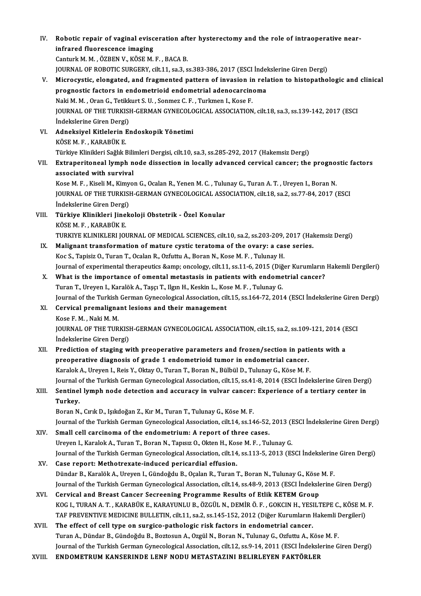- IV. Robotic repair of vaginal evisceration after hysterectomy and the role of intraoperative near-<br>infrared flueressence imeging Robotic repair of vaginal evisc<br>infrared fluorescence imaging<br>Centurk M. M. ÖZPEN V. KÖSE M infrared fluorescence imaging<br>Canturk M. M. , ÖZBEN V., KÖSE M. F. , BACA B. infrared fluorescence imaging<br>Canturk M. M. , ÖZBEN V., KÖSE M. F. , BACA B.<br>JOURNAL OF ROBOTIC SURGERY, cilt.11, sa.3, ss.383-386, 2017 (ESCI İndekslerine Giren Dergi)<br>Mianogyatis, elengated, and fragmented nattern of inv Canturk M. M. , ÖZBEN V., KÖSE M. F. , BACA B.<br>JOURNAL OF ROBOTIC SURGERY, cilt.11, sa.3, ss.383-386, 2017 (ESCI İndekslerine Giren Dergi)<br>V. Microcystic, elongated, and fragmented pattern of invasion in relation to histop JOURNAL OF ROBOTIC SURGERY, cilt.11, sa.3, ss.383-386, 2017 (ESCI İndel<br>Microcystic, elongated, and fragmented pattern of invasion in rela<br>prognostic factors in endometrioid endometrial adenocarcinoma<br>Naki M. M. Oran G. Te Microcystic, elongated, and fragmented pattern of invasion in<br>prognostic factors in endometrioid endometrial adenocarcin<br>Naki M. M. , Oran G., Tetikkurt S. U. , Sonmez C. F. , Turkmen I., Kose F.<br>JOUPMAL OF THE TURKISH CER prognostic factors in endometrioid endometrial adenocarcinoma<br>Naki M. M. , Oran G., Tetikkurt S. U. , Sonmez C. F. , Turkmen I., Kose F.<br>JOURNAL OF THE TURKISH-GERMAN GYNECOLOGICAL ASSOCIATION, cilt.18, sa.3, ss.139-142, 2 Naki M. M. , Oran G., Tetikk<br>JOURNAL OF THE TURKISI<br>İndekslerine Giren Dergi)<br>Adneksiyal Kitlelerin Ex VI. Adneksiyel Kitlelerin Endoskopik Yönetimi İndekslerine Giren Dergi<br>**Adneksiyel Kitlelerin I**<br>KÖSE M. F. , KARABÜK E.<br>Türkiye Klinikleri Seğlık E Türkiye Klinikleri Sağlık Bilimleri Dergisi, cilt.10, sa.3, ss.285-292, 2017 (Hakemsiz Dergi) KÖSE M. F. , KARABÜK E.<br>Türkiye Klinikleri Sağlık Bilimleri Dergisi, cilt.10, sa.3, ss.285-292, 2017 (Hakemsiz Dergi)<br>VII. Extraperitoneal lymph node dissection in locally advanced cervical cancer; the prognostic facto Türkiye Klinikleri Sağlık Bili<br>Extraperitoneal lymph n<br>associated with survival<br>Kess M.E. Kiseli M. Kimuo associated with survival<br>Kose M. F. , Kiseli M., Kimyon G., Ocalan R., Yenen M. C. , Tulunay G., Turan A. T. , Ureyen I., Boran N. associated with survival<br>Kose M. F. , Kiseli M., Kimyon G., Ocalan R., Yenen M. C. , Tulunay G., Turan A. T. , Ureyen I., Boran N.<br>JOURNAL OF THE TURKISH-GERMAN GYNECOLOGICAL ASSOCIATION, cilt.18, sa.2, ss.77-84, 2017 (ESC Kose M. F. , Kiseli M., Kimy<br>JOURNAL OF THE TURKISI<br>İndekslerine Giren Dergi)<br>Türkiye Klinikleri Linek VIII. Türkiye Klinikleri Jinekoloji Obstetrik - Özel Konular<br>KÖSE M. F., KARABÜK E. İndekslerine Giren Dergi) Türkiye Klinikleri Jinekoloji Obstetrik - Özel Konular<br>KÖSE M. F. , KARABÜK E.<br>TURKIYE KLINIKLERI JOURNAL OF MEDICAL SCIENCES, cilt.10, sa.2, ss.203-209, 2017 (Hakemsiz Dergi)<br>Malignant transformation of mature systia tera KÖSE M. F., KARABÜK E.<br>TURKIYE KLINIKLERI JOURNAL OF MEDICAL SCIENCES, cilt.10, sa.2, ss.203-209, 2017 (Hal<br>IX. Malignant transformation of mature cystic teratoma of the ovary: a case series.<br>Kee S. Tapisiz O. Turan T. Osa TURKIYE KLINIKLERI JOURNAL OF MEDICAL SCIENCES, cilt.10, sa.2, ss.203-209,<br>Malignant transformation of mature cystic teratoma of the ovary: a cas<br>Koc S., Tapisiz O., Turan T., Ocalan R., Ozfuttu A., Boran N., Kose M. F. , Malignant transformation of mature cystic teratoma of the ovary: a case series.<br>Koc S., Tapisiz O., Turan T., Ocalan R., Ozfuttu A., Boran N., Kose M. F. , Tulunay H.<br>Journal of experimental therapeutics &amp; oncology, ci Koc S., Tapisiz O., Turan T., Ocalan R., Ozfuttu A., Boran N., Kose M. F., Tulunay H.<br>Journal of experimental therapeutics &amp; oncology, cilt.11, ss.11-6, 2015 (Diğer Kurumların<br>X. What is the importance of omental metas Journal of experimental therapeutics & oncology, cilt.11, ss.11-6, 2015 (Diğ<br>What is the importance of omental metastasis in patients with endome<br>Turan T., Ureyen I., Karalök A., Taşçı T., Ilgın H., Keskin L., Kose M. What is the importance of omental metastasis in patients with endometrial cancer?<br>Turan T., Ureyen I., Karalök A., Taşçı T., Ilgın H., Keskin L., Kose M. F. , Tulunay G.<br>Journal of the Turkish German Gynecological Associat Turan T., Ureyen I., Karalök A., Taşçı T., Ilgın H., Keskin L., Kose M. F. , Tulunay G.<br>Journal of the Turkish German Gynecological Association, cilt.15, ss.164-72, 201<br>XI. Cervical premalignant lesions and their managemen Journal of the Turkish<br>Cervical premaligna<br>Kose F. M. , Naki M. M.<br>JOUPNAL OF THE TUP Cervical premalignant lesions and their management<br>Kose F. M. , Naki M. M.<br>JOURNAL OF THE TURKISH-GERMAN GYNECOLOGICAL ASSOCIATION, cilt.15, sa.2, ss.109-121, 2014 (ESCI<br>Indekslerine Ciren Dergi) Kose F. M. , Naki M. M.<br>JOURNAL OF THE TURKISI<br>İndekslerine Giren Dergi)<br>Prodistion of staging w JOURNAL OF THE TURKISH-GERMAN GYNECOLOGICAL ASSOCIATION, cilt.15, sa.2, ss.109-121, 2014 (F<br>
indekslerine Giren Dergi)<br>
XII. Prediction of staging with preoperative parameters and frozen/section in patients with a<br>
preoper Indekslerine Giren Dergi)<br>XII. Prediction of staging with preoperative parameters and frozen/section in patients with a<br>preoperative diagnosis of grade 1 endometrioid tumor in endometrial cancer. Karalok A., Ureyen I., Reis Y., Oktay O., Turan T., Boran N., Bülbül D., Tulunay G., Köse M. F. Journal of the Turkish German Gynecological Association, cilt.15, ss.41-8, 2014 (ESCI İndekslerine Giren Dergi) Karalok A., Ureyen I., Reis Y., Oktay O., Turan T., Boran N., Bülbül D., Tulunay G., Köse M. F.<br>Journal of the Turkish German Gynecological Association, cilt.15, ss.41-8, 2014 (ESCI Indekslerine Giren Dergi<br>XIII. Sentinel Journal o<br>Se<mark>ntine!</mark><br>Turkey. Sentinel lymph node detection and accuracy in vulvar cancer:<br>Turkey.<br>Boran N., Cırık D., Işıkdoğan Z., Kır M., Turan T., Tulunay G., Köse M. F.<br>Journal of the Turkish Cerman Cuneselegisel Association, silt 14, ss 14 Turkey.<br>Boran N., Cırık D., Işıkdoğan Z., Kır M., Turan T., Tulunay G., Köse M. F.<br>Journal of the Turkish German Gynecological Association, cilt.14, ss.146-52, 2013 (ESCI İndekslerine Giren Dergi)<br>Small sell sarsinema of t Boran N., Cırık D., Işıkdoğan Z., Kır M., Turan T., Tulunay G., Köse M. F.<br>Journal of the Turkish German Gynecological Association, cilt.14, ss.146-52, 2013 (I<br>XIV. Small cell carcinoma of the endometrium: A report of thre Journal of the Turkish German Gynecological Association, cilt.14, ss.146-52, 2013 (I<br>Small cell carcinoma of the endometrium: A report of three cases.<br>Ureyen I., Karalok A., Turan T., Boran N., Tapısız O., Okten H., Kose M Small cell carcinoma of the endometrium: A report of three cases.<br>Ureyen I., Karalok A., Turan T., Boran N., Tapısız O., Okten H., Kose M. F. , Tulunay G.<br>Journal of the Turkish German Gynecological Association, cilt.14, s XV. Case report:Methotrexate-induced pericardial effusion. Journal of the Turkish German Gynecological Association, cilt.14, ss.113-5, 2013 (ESCI İndekslerine<br>Case report: Methotrexate-induced pericardial effusion.<br>Dündar B., Karalök A., Ureyen I., Gündoğdu B., Oçalan R., Turan T. Journal of the Turkish German Gynecological Association, cilt.14, ss.48-9, 2013 (ESCI İndekslerine Giren Dergi)<br>Cervical and Breast Cancer Secreening Programme Results of Etlik KETEM Group Dündar B., Karalök A., Ureyen I., Gündoğdu B., Oçalan R., Turan T., Boran N., Tulunay G., Köse M. F.<br>Journal of the Turkish German Gynecological Association, cilt.14, ss.48-9, 2013 (ESCI İndekslerine<br>XVI. Cervical and Journal of the Turkish German Gynecological Association, cilt.14, ss.48-9, 2013 (ESCI İndekslerine Giren Dergi)<br>Cervical and Breast Cancer Secreening Programme Results of Etlik KETEM Group<br>KOG I., TURAN A. T. , KARABÜK E., Cervical and Breast Cancer Secreening Programme Results of Etlik KETEM Group<br>KOG I., TURAN A. T. , KARABÜK E., KARAYUNLU B., ÖZGÜL N., DEMİR Ö. F. , GOKCIN H., YESILTEPE C., KÖSE M.<br>TAF PREVENTIVE MEDICINE BULLETIN, cilt.1 XVII. The effect of cell type on surgico-pathologic risk factors in endometrial cancer.<br>Turan A., Dündar B., Gündoğdu B., Boztosun A., Ozgül N., Boran N., Tulunay G., Ozfuttu A., Köse M. F. TAF PREVENTIVE MEDICINE BULLETIN, cilt.11, sa.2, ss.145-152, 2012 (Diğer Kurumların Hakemli Dergileri) The effect of cell type on surgico-pathologic risk factors in endometrial cancer.<br>Turan A., Dündar B., Gündoğdu B., Boztosun A., Ozgül N., Boran N., Tulunay G., Ozfuttu A., Köse M. F.<br>Journal of the Turkish German Gynecolo
- Turan A., Dündar B., Gündoğdu B., Boztosun A., Ozgül N., Boran N., Tulunay G., Ozfuttu A., Kös<br>Journal of the Turkish German Gynecological Association, cilt.12, ss.9-14, 2011 (ESCI İndeksle<br>XVIII. ENDOMETRUM KANSERINDE
-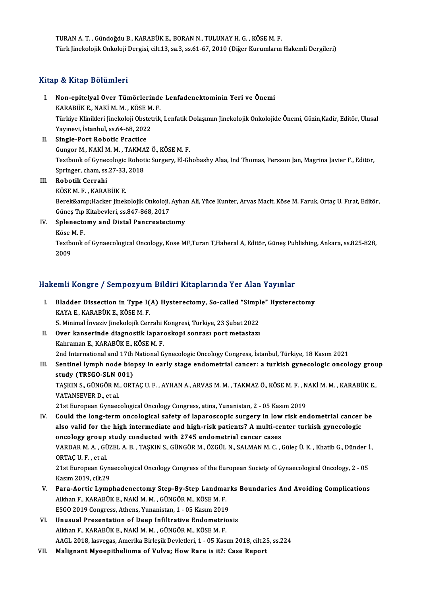TURAN A.T., Gündoğdu B., KARABÜK E., BORAN N., TULUNAY H. G., KÖSE M.F. Türk Jinekolojik Onkoloji Dergisi, cilt.13, sa.3, ss.61-67, 2010 (Diğer Kurumların Hakemli Dergileri)

#### Kitap & Kitap Bölümleri

- Itap & Kitap Bölümleri<br>I. Non-epitelyal Over Tümörlerinde Lenfadenektominin Yeri ve Önemi<br>KARARÜKE NAKİM M. KÖSEM E k ve sistem Sosanisosi<br>Non-epitelyal Over Tümörlerinde<br>KARABÜK E., NAKİ M. M. , KÖSE M. F.<br>Türkiye Klinikleri linekeleji Obstatrik Türkiye Klinikleri Jinekoloji Obstetrik, Lenfatik Dolaşımın Jinekolojik Onkolojide Önemi, Güzin,Kadir, Editör, Ulusal<br>Yavınevi, İstanbul, ss,64-68, 2022 KARABÜK E., NAKİ M. M., KÖSE M. F.
- II. Single-Port Robotic Practice Yayınevi, İstanbul, ss.64-68, 2022<br>Single-Port Robotic Practice<br>Gungor M., NAKİ M. M. , TAKMAZ Ö., KÖSE M. F.<br>Textbook of Cunegalogia Bobotic Surgery, El Ch Textbook of Gynecologic Robotic Surgery, El-Ghobashy Alaa, Ind Thomas, Persson Jan, Magrina Javier F., Editör,<br>Springer, cham, ss.27-33, 2018 Gungor M., NAKİ M. M. , TAKMA<br>Textbook of Gynecologic Robot<br>Springer, cham, ss.27-33, 2018<br>Robotik Carrabi III. Robotik Cerrahi KÖSEM.F. ,KARABÜKE. Robotik Cerrahi<br>KÖSE M. F. , KARABÜK E.<br>Berek&amp;Hacker Jinekolojik Onkoloji, Ayhan Ali, Yüce Kunter, Arvas Macit, Köse M. Faruk, Ortaç U. Fırat, Editör,

KÖSE M. F. , KARABÜK E.<br>Berek&amp;Hacker Jinekolojik Onkoloji,<br>Güneş Tıp Kitabevleri, ss.847-868, 2017<br>Splanestomy and Distal Pensysstast Güneş Tıp Kitabevleri, ss 847-868, 2017

IV. Splenectomy and Distal Pancreatectomy

Splenectomy and Distal Pancreatectomy<br>Köse M. F.<br>Textbook of Gynaecological Oncology, Kose MF,Turan T,Haberal A, Editör, Güneş Publishing, Ankara, ss.825-828,<br>2009 Köse l<br>Textb<br>2009

# <sub>2009</sub><br>Hakemli Kongre / Sempozyum Bildiri Kitaplarında Yer Alan Yayınlar

akemli Kongre / Sempozyum Bildiri Kitaplarında Yer Alan Yayınlar<br>I. Bladder Dissection in Type I(A) Hysterectomy, So-called "Simple" Hysterectomy<br>KAVA E. KARARÜK E. KÖSEM E XIIII RORGE 7 SOMPOLY d.m.<br>Bladder Dissection in Type I<br>KAYA E., KARABÜK E., KÖSE M. F.<br>F. Minimal Inverix linekalailk Com Bladder Dissection in Type I(A) Hysterectomy, So-called "Simpl<br>KAYA E., KARABÜK E., KÖSE M. F.<br>5. Minimal İnvaziv Jinekolojik Cerrahi Kongresi, Türkiye, 23 Şubat 2022<br>Quen kansaninda diasnestik kananeskeni sennası nent met KAYA E., KARABÜK E., KÖSE M. F.<br>5. Minimal İnvaziv Jinekolojik Cerrahi Kongresi, Türkiye, 23 Şubat 2022<br>II. Over kanserinde diagnostik laparoskopi sonrası port metastazı<br>Kehnoman E. KARABÜK E. KÖSE M. F.

5. Minimal İnvaziv Jinekolojik Cerrahi I<br>Over kanserinde diagnostik lapare<br>Kahraman E., KARABÜK E., KÖSE M. F.<br>2nd International and 17th National C 11. Over kanserinde diagnostik laparoskopi sonrası port metastazı<br>1991- Kahraman E., KARABÜK E., KÖSE M. F.<br>2nd International and 17th National Gynecologic Oncology Congress, İstanbul, Türkiye, 18 Kasım 2021

Kahraman E., KARABÜK E., KÖSE M. F.<br>2nd International and 17th National Gynecologic Oncology Congress, İstanbul, Türkiye, 18 Kasım 2021<br>III. Sentinel lymph node biopsy in early stage endometrial cancer: a turkish gynec 2nd International and 17th<br>Sentinel lymph node bio<br>study (TRSGO-SLN 001)<br>TASKINS S SÜNGÖR MORT Sentinel lymph node biopsy in early stage endometrial cancer: a turkish gynecologic oncology grou<br>study (TRSGO-SLN 001)<br>TAŞKIN S., GÜNGÖR M., ORTAÇ U. F. , AYHAN A., ARVAS M. M. , TAKMAZ Ö., KÖSE M. F. , NAKİ M. M. , KARAB

study (TRSGO-SLN 001)<br>TAŞKIN S., GÜNGÖR M., ORTAÇ U. F. , AYHAN A., ARVAS M. M. , TAKMAZ Ö., KÖSE M. F. , NAKİ M. M. , KARABÜK E.,<br>VATANSEVER D., et al.

21st European Gynaecological Oncology Congress, atina, Yunanistan, 2 - 05 Kasım 2019

- VATANSEVER D., et al.<br>21st European Gynaecological Oncology Congress, atina, Yunanistan, 2 05 Kasım 2019<br>IV. Could the long-term oncological safety of laparoscopic surgery in low risk endometrial cancer be<br>also volid for 21st European Gynaecological Oncology Congress, atina, Yunanistan, 2 - 05 Kasım 2019<br>Could the long-term oncological safety of laparoscopic surgery in low risk endometrial cancer<br>also valid for the high intermediate and hi Could the long-term oncological safety of laparoscopic surgery in low<br>also valid for the high intermediate and high-risk patients? A multi-ce<br>oncology group study conducted with 2745 endometrial cancer cases<br>VAPDAR M A CÜZ also valid for the high intermediate and high-risk patients? A multi-center turkish gynecologic<br>oncology group study conducted with 2745 endometrial cancer cases<br>VARDAR M.A.,GÜZEL A.B., TAŞKIN S., GÜNGÖR M., ÖZGÜL N., SALM oncology group<br>VARDAR M. A. , GÜ<br>ORTAÇ U. F. , et al.<br>21st Europeen Cyr VARDAR M. A. , GÜZEL A. B. , TAŞKIN S., GÜNGÖR M., ÖZGÜL N., SALMAN M. C. , Güleç Ü. K. , Khatib G., Dünder İ<br>ORTAÇ U. F. , et al.<br>21st European Gynaecological Oncology Congress of the European Society of Gynaecological On ORTAÇ U. F. , et al.<br>21st European Gyn:<br>Kasım 2019, cilt.29<br>Para Aartis Lumn 21st European Gynaecological Oncology Congress of the European Society of Gynaecological Oncology, 2 - 05<br>Kasım 2019, cilt.29<br>V. Para-Aortic Lymphadenectomy Step-By-Step Landmarks Boundaries And Avoiding Complications<br>Allt
- Kasım 2019, cilt.29<br><mark>Para-Aortic Lymphadenectomy Step-By-Step Landma</mark><br>Alkhan F., KARABÜK E., NAKİ M. M. , GÜNGÖR M., KÖSE M. F.<br>FSCO 2019 Congress, Athons, Yunonistan 1, AE Kasım 2016 Para-Aortic Lymphadenectomy Step-By-Step Landmar<br>Alkhan F., KARABÜK E., NAKİ M. M. , GÜNGÖR M., KÖSE M. F.<br>ESGO 2019 Congress, Athens, Yunanistan, 1 - 05 Kasım 2019<br>Unuauel Bresentation of Deen Infiltrative Endematries Alkhan F., KARABÜK E., NAKİ M. M. , GÜNGÖR M., KÖSE M. F.<br>ESGO 2019 Congress, Athens, Yunanistan, 1 - 05 Kasım 2019<br>VI. Unusual Presentation of Deep Infiltrative Endometriosis<br>Alkhan E. KARABÜK E. NAKİ M. M. GÜNGÖR M. KÖSE
- ESGO 2019 Congress, Athens, Yunanistan, 1 05 Kasım 2019<br>Unusual Presentation of Deep Infiltrative Endometriosis<br>Alkhan F., KARABÜK E., NAKİ M. M. , GÜNGÖR M., KÖSE M. F. AAGL 2018, lasvegas, Amerika Birleşik Devletleri, 1 - 05 Kasım 2018, cilt.25, ss.224
- VII. Malignant Myoepithelioma of Vulva; How Rare is it?: Case Report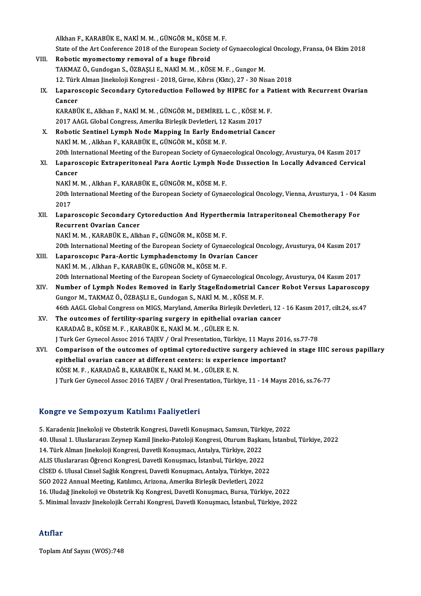AlkhanF.,KARABÜKE.,NAKİM.M. ,GÜNGÖRM.,KÖSEM.F.

- Alkhan F., KARABÜK E., NAKİ M. M. , GÜNGÖR M., KÖSE M. F.<br>State of the Art Conference 2018 of the European Society of Gynaecological Oncology, Fransa, 04 Ekim 2018<br>Robotis myamastamy, namoval of a buga fibnaid
- Alkhan F., KARABÜK E., NAKİ M. M., GÜNGÖR M., KÖSE<br>State of the Art Conference 2018 of the European Socie<br>VIII. Robotic myomectomy removal of a huge fibroid<br>TAKMAZ Ö. Cundegan S. ÖZBASLLE NAKİM M. KÖS State of the Art Conference 2018 of the European Society of Gynaecologic<br>Robotic myomectomy removal of a huge fibroid<br>TAKMAZ Ö., Gundogan S., ÖZBAŞLI E., NAKİ M. M. , KÖSE M. F. , Gungor M.<br>12. Türk Alman linekeleji Kengre Robotic myomectomy removal of a huge fibroid<br>TAKMAZ Ö., Gundogan S., ÖZBAŞLI E., NAKİ M. M. , KÖSE M. F. , Gungor M.<br>12. Türk Alman Jinekoloji Kongresi - 2018, Girne, Kıbrıs (Kktc), 27 - 30 Nisan 2018<br>Lanarossonis Sosondar TAKMAZ Ö., Gundogan S., ÖZBAŞLI E., NAKİ M. M. , KÖSE M. F. , Gungor M.<br>12. Türk Alman Jinekoloji Kongresi - 2018, Girne, Kıbrıs (Kktc), 27 - 30 Nisan 2018<br>IX. Laparoscopic Secondary Cytoreduction Followed by HIPEC for
- 12. Türk<br>Laparo<br>Cancer<br>KARAPI Laparoscopic Secondary Cytoreduction Followed by HIPEC for a Pa<br>Cancer<br>KARABÜK E., Alkhan F., NAKİ M. M. , GÜNGÖR M., DEMİREL L. C. , KÖSE M. F.<br>2017 AACL Clabal Congress, Amerika Birlesik Devletleri 12 Kasım 2017

Cancer<br>KARABÜK E., Alkhan F., NAKİ M. M. , GÜNGÖR M., DEMİREL L. C. , KÖSE M. F.<br>2017 AAGL Global Congress, Amerika Birleşik Devletleri, 12 Kasım 2017 KARABÜK E., Alkhan F., NAKİ M. M. , GÜNGÖR M., DEMİREL L. C. , KÖSE M. F.<br>2017 AAGL Global Congress, Amerika Birleşik Devletleri, 12 Kasım 2017<br>X. Robotic Sentinel Lymph Node Mapping In Early Endometrial Cancer<br>NAKİ M. Alk

- 2017 AAGL Global Congress, Amerika Birleşik Devletleri, 12<br>Robotic Sentinel Lymph Node Mapping In Early Endo<br>NAKİM.M., Alkhan F., KARABÜK E., GÜNGÖRM., KÖSEM.F.<br>20th International Meeting of the Euronean Seciety of Gunes 20th International Meeting of the European Society of Gynaecological Oncology, Avusturya, 04 Kasım 2017<br>20th International Meeting of the European Society of Gynaecological Oncology, Avusturya, 04 Kasım 2017 NAKİ M. M. , Alkhan F., KARABÜK E., GÜNGÖR M., KÖSE M. F.<br>20th International Meeting of the European Society of Gynaecological Oncology, Avusturya, 04 Kasım 2017<br>20. Laparoscopic Extraperitoneal Para Aortic Lymph Node Dıss
- 20th Int<br><mark>Laparo</mark><br>Cancer<br>NAK<sup>i</sup> M Laparoscopic Extraperitoneal Para Aortic Lymph No<br>Cancer<br>NAKİ M. M. , Alkhan F., KARABÜK E., GÜNGÖR M., KÖSE M. F.<br>20th International Meeting of the European Society of Gunes

NAKİ M. M. . Alkhan F., KARABÜK E., GÜNGÖR M., KÖSE M. F.

Cancer<br>NAKİ M. M. , Alkhan F., KARABÜK E., GÜNGÖR M., KÖSE M. F.<br>20th International Meeting of the European Society of Gynaecological Oncology, Vienna, Avusturya, 1 - 04 Kasım<br>2017 20th International Meeting of the European Society of Gynaecological Oncology, Vienna, Avusturya, 1 - 04 N<br>2017<br>XII. Laparoscopic Secondary Cytoreduction And Hyperthermia Intraperitoneal Chemotherapy For<br>Regument Overlian

2017<br>Laparoscopic Secondary C<br>Recurrent Ovarian Cancer<br>NARI M. M. KARAPÜK F. All-Recurrent Ovarian Cancer<br>NAKİ M. M. , KARABÜK E., Alkhan F., GÜNGÖR M., KÖSE M. F.

Recurrent Ovarian Cancer<br>NAKİ M. M. , KARABÜK E., Alkhan F., GÜNGÖR M., KÖSE M. F.<br>20th International Meeting of the European Society of Gynaecological Oncology, Avusturya, 04 Kasım 2017<br>Lanarossonya Bara, Aortis Lymphadon

- NAKİ M. M. , KARABÜK E., Alkhan F., GÜNGÖR M., KÖSE M. F.<br>20th International Meeting of the European Society of Gynaecological C<br>XIII. Laparoscopic Para-Aortic Lymphadenctomy In Ovarian Cancer<br>NAKİ M. M. Alkhan E. KARA Laparoscopic Para-Aortic Lymphadenctomy In Ovarian Cancer<br>NAKİM.M., Alkhan F., KARABÜK E., GÜNGÖRM., KÖSEM.F. Laparoscopic Para-Aortic Lymphadenctomy In Ovarian Cancer<br>NAKİ M. M. , Alkhan F., KARABÜK E., GÜNGÖR M., KÖSE M. F.<br>20th International Meeting of the European Society of Gynaecological Oncology, Avusturya, 04 Kasım 2017<br>Nu NAKİ M. M. , Alkhan F., KARABÜK E., GÜNGÖR M., KÖSE M. F.<br>20th International Meeting of the European Society of Gynaecological Oncology, Avusturya, 04 Kasım 2017<br>XIV. Number of Lymph Nodes Removed in Early StageEndomet
- 20th International Meeting of the European Society of Gynaecological On<br>Number of Lymph Nodes Removed in Early StageEndometrial Ca<br>Gungor M., TAKMAZ Ö., ÖZBAŞLI E., Gundogan S., NAKİM. M. , KÖSEM. F.<br>46th AACL Clabal Congr Number of Lymph Nodes Removed in Early StageEndometrial Cancer Robot Versus Laparoscopy<br>Gungor M., TAKMAZ Ö., ÖZBAŞLI E., Gundogan S., NAKİ M. M. , KÖSE M. F.<br>46th AAGL Global Congress on MIGS, Maryland, Amerika Birleşik D
- XV. The outcomes of fertility-sparing surgery in epithelial ovarian cancer KARADAĞB.,KÖSEM.F. ,KARABÜKE.,NAKİM.M. ,GÜLERE.N. JTurkGerGynecolAssoc2016TAJEV/OralPresentation,Türkiye,11Mayıs2016, ss.77-78
- XVI. Comparison of the outcomes of optimal cytoreductive surgery achieved in stage IIIC serous papillary J Turk Ger Gynecol Assoc 2016 TAJEV / Oral Presentation, Türkiye, 11 Mayıs 2016<br>Comparison of the outcomes of optimal cytoreductive surgery achieved<br>epithelial ovarian cancer at different centers: is experience important?<br> Comparison of the outcomes of optimal cytoreductive su<br>epithelial ovarian cancer at different centers: is experien<br>KÖSE M. F., KARADAĞ B., KARABÜK E., NAKİ M. M. , GÜLER E. N.<br>LTurk Con Cunesel Asses 2016 TAIEV / Oral Pres KÖSE M. F. , KARADAĞ B., KARABÜK E., NAKİ M. M. , GÜLER E. N.<br>J Turk Ger Gynecol Assoc 2016 TAJEV / Oral Presentation, Türkiye, 11 - 14 Mayıs 2016, ss.76-77

#### Kongre ve SempozyumKatılımı Faaliyetleri

K<mark>ongre ve Sempozyum Katılımı Faaliyetleri</mark><br>5. Karadeniz Jinekoloji ve Obstetrik Kongresi, Davetli Konuşmacı, Samsun, Türkiye, 2022<br>40. Ulusel 1. Uluslarerası Zeynen Kamil Jineke Bateleji Kongresi, Oturum Baskanı, İstanbu 10.usg.cov o oompozy am "Mathimi" rauny ottori<br>5. Karadeniz Jinekoloji ve Obstetrik Kongresi, Davetli Konuşmacı, Samsun, Türkiye, 2022<br>40. Ulusal 1. Uluslararası Zeynep Kamil Jineko-Patoloji Kongresi, Oturum Başkanı, İstan 5. Karadeniz Jinekoloji ve Obstetrik Kongresi, Davetli Konuşmacı, Samsun, Türk<br>40. Ulusal 1. Uluslararası Zeynep Kamil Jineko-Patoloji Kongresi, Oturum Başka<br>14. Türk Alman Jinekoloji Kongresi, Davetli Konuşmacı, Antalya, 40. Ulusal 1. Uluslararası Zeynep Kamil Jineko-Patoloji Kongresi, Oturum Başkar<br>14. Türk Alman Jinekoloji Kongresi, Davetli Konuşmacı, Antalya, Türkiye, 2022<br>ALIS Uluslararası Öğrenci Kongresi, Davetli Konuşmacı, İstanbul, 14. Türk Alman Jinekoloji Kongresi, Davetli Konuşmacı, Antalya, Türkiye, 2022<br>ALIS Uluslararası Öğrenci Kongresi, Davetli Konuşmacı, İstanbul, Türkiye, 2022<br>CİSED 6. Ulusal Cinsel Sağlık Kongresi, Davetli Konuşmacı, Antaly ALIS Uluslararası Öğrenci Kongresi, Davetli Konuşmacı, İstanbul, Türkiye, 2022<br>CİSED 6. Ulusal Cinsel Sağlık Kongresi, Davetli Konuşmacı, Antalya, Türkiye, 202<br>SGO 2022 Annual Meeting, Katılımcı, Arizona, Amerika Birleşik CİSED 6. Ulusal Cinsel Sağlık Kongresi, Davetli Konuşmacı, Antalya, Türkiye, 2022<br>SGO 2022 Annual Meeting, Katılımcı, Arizona, Amerika Birleşik Devletleri, 2022<br>16. Uludağ Jinekoloji ve Obstetrik Kış Kongresi, Davetli Konu SGO 2022 Annual Meeting, Katılımcı, Arizona, Amerika Birleşik Devletleri, 2022<br>16. Uludağ Jinekoloji ve Obstetrik Kış Kongresi, Davetli Konuşmacı, Bursa, Türkiye, 2022<br>5. Minimal İnvaziv Jinekolojik Cerrahi Kongresi, Davet 5. Minimal İnvaziv Jinekolojik Cerrahi Kongresi, Davetli Konuşmacı, İstanbul, Türkiye, 2022<br>Atıflar

ToplamAtıf Sayısı (WOS):748